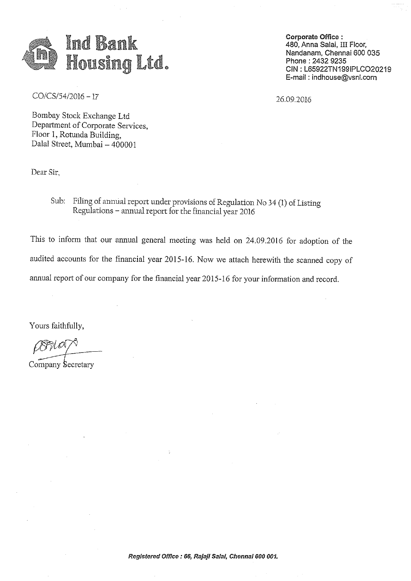

**Corporate Office:** 480, Anna Salai, III Floor, Nandanam, Chennai 600 035 Phone: 2432 9235 CIN: L65922TN199IPLCO20219 E-mail: indhouse@vsnl.com

26.09.2016

CO/CS/54/2016-17

Bombay Stock Exchange Ltd Department of Corporate Services, Floor 1, Rotunda Building, Dalal Street, Mumbai - 400001

Dear Sir,

Sub: Filing of annual report under provisions of Regulation No 34 (1) of Listing Regulations - annual report for the financial year 2016

This to inform that our annual general meeting was held on 24.09.2016 for adoption of the audited accounts for the financial year 2015-16. Now we attach herewith the scanned copy of annual report of our company for the financial year 2015-16 for your information and record.

Yours faithfully,

Company Secretary

Registered Office: 66, Rajaji Salai, Chennai 600 001.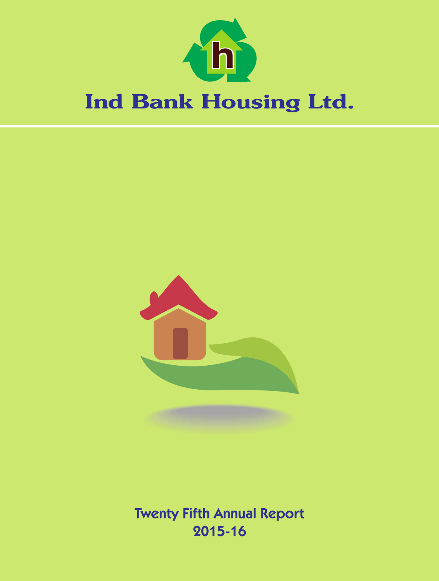



Twenty Fifth Annual Report 2015-16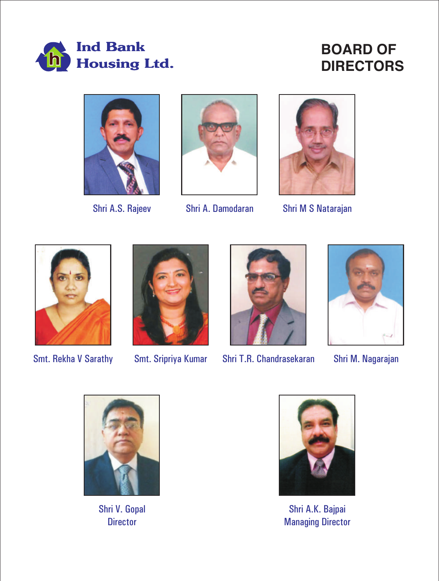

# **BOARD OF DIRECTORS**



Shri A.S. Rajeev



Shri A. Damodaran Shri M S Natarajan





Smt. Rekha V Sarathy





Smt. Sripriya Kumar Shri T.R. Chandrasekaran Shri M. Nagarajan





Shri V. Gopal **Director** 



Shri A.K. Bajpai Managing Director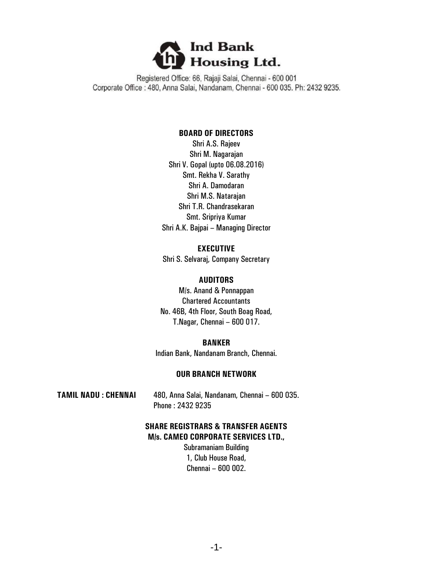

Registered Office: 66, Rajaji Salai, Chennai - 600 001 Corporate Office : 480, Anna Salai, Nandanam, Chennai - 600 035. Ph: 2432 9235.

#### **BOARD OF DIRECTORS**

Shri A.S. Rajeev Shri M. Nagarajan Shri V. Gopal (upto 06.08.2016) Smt. Rekha V. Sarathy Shri A. Damodaran Shri M.S. Natarajan Shri T.R. Chandrasekaran Smt. Sripriya Kumar Shri A.K. Bajpai – Managing Director

**EXECUTIVE**

Shri S. Selvaraj, Company Secretary

# **AUDITORS**

M/s. Anand & Ponnappan Chartered Accountants No. 46B, 4th Floor, South Boag Road, T.Nagar, Chennai – 600 017.

# **BANKER**

Indian Bank, Nandanam Branch, Chennai.

#### **OUR BRANCH NETWORK**

**TAMIL NADU : CHENNAI** 480, Anna Salai, Nandanam, Chennai – 600 035. Phone : 2432 9235

# **SHARE REGISTRARS & TRANSFER AGENTS M/s. CAMEO CORPORATE SERVICES LTD.,**

Subramaniam Building 1, Club House Road, Chennai – 600 002.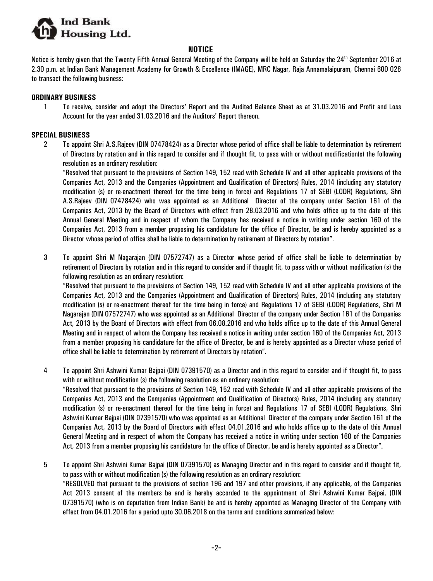

#### **NOTICE**

Notice is hereby given that the Twenty Fifth Annual General Meeting of the Company will be held on Saturday the 24 th September 2016 at 2.30 p.m. at Indian Bank Management Academy for Growth & Excellence (IMAGE), MRC Nagar, Raja Annamalaipuram, Chennai 600 028 to transact the following business:

#### **ORDINARY BUSINESS**

1 To receive, consider and adopt the Directors' Report and the Audited Balance Sheet as at 31.03.2016 and Profit and Loss Account for the year ended 31.03.2016 and the Auditors' Report thereon.

#### **SPECIAL BUSINESS**

2 To appoint Shri A.S.Rajeev (DIN 07478424) as a Director whose period of office shall be liable to determination by retirement of Directors by rotation and in this regard to consider and if thought fit, to pass with or without modification(s) the following resolution as an ordinary resolution:

"Resolved that pursuant to the provisions of Section 149, 152 read with Schedule IV and all other applicable provisions of the Companies Act, 2013 and the Companies (Appointment and Qualification of Directors) Rules, 2014 (including any statutory modification (s) or re-enactment thereof for the time being in force) and Regulations 17 of SEBI (LODR) Regulations, Shri A.S.Rajeev (DIN 07478424) who was appointed as an Additional Director of the company under Section 161 of the Companies Act, 2013 by the Board of Directors with effect from 28.03.2016 and who holds office up to the date of this Annual General Meeting and in respect of whom the Company has received a notice in writing under section 160 of the Companies Act, 2013 from a member proposing his candidature for the office of Director, be and is hereby appointed as a Director whose period of office shall be liable to determination by retirement of Directors by rotation".

3 To appoint Shri M Nagarajan (DIN 07572747) as a Director whose period of office shall be liable to determination by retirement of Directors by rotation and in this regard to consider and if thought fit, to pass with or without modification (s) the following resolution as an ordinary resolution:

"Resolved that pursuant to the provisions of Section 149, 152 read with Schedule IV and all other applicable provisions of the Companies Act, 2013 and the Companies (Appointment and Qualification of Directors) Rules, 2014 (including any statutory modification (s) or re-enactment thereof for the time being in force) and Regulations 17 of SEBI (LODR) Regulations, Shri M Nagarajan (DIN 07572747) who was appointed as an Additional Director of the company under Section 161 of the Companies Act, 2013 by the Board of Directors with effect from 06.08.2016 and who holds office up to the date of this Annual General Meeting and in respect of whom the Company has received a notice in writing under section 160 of the Companies Act, 2013 from a member proposing his candidature for the office of Director, be and is hereby appointed as a Director whose period of office shall be liable to determination by retirement of Directors by rotation".

4 To appoint Shri Ashwini Kumar Bajpai (DIN 07391570) as a Director and in this regard to consider and if thought fit, to pass with or without modification (s) the following resolution as an ordinary resolution: "Resolved that pursuant to the provisions of Section 149, 152 read with Schedule IV and all other applicable provisions of the Companies Act, 2013 and the Companies (Appointment and Qualification of Directors) Rules, 2014 (including any statutory modification (s) or re-enactment thereof for the time being in force) and Regulations 17 of SEBI (LODR) Regulations, Shri Ashwini Kumar Bajpai (DIN 07391570) who was appointed as an Additional Director of the company under Section 161 of the Companies Act, 2013 by the Board of Directors with effect 04.01.2016 and who holds office up to the date of this Annual General Meeting and in respect of whom the Company has received a notice in writing under section 160 of the Companies Act, 2013 from a member proposing his candidature for the office of Director, be and is hereby appointed as a Director".

5 To appoint Shri Ashwini Kumar Bajpai (DIN 07391570) as Managing Director and in this regard to consider and if thought fit, to pass with or without modification (s) the following resolution as an ordinary resolution: "RESOLVED that pursuant to the provisions of section 196 and 197 and other provisions, if any applicable, of the Companies Act 2013 consent of the members be and is hereby accorded to the appointment of Shri Ashwini Kumar Bajpai, (DIN 07391570) (who is on deputation from Indian Bank) be and is hereby appointed as Managing Director of the Company with effect from 04.01.2016 for a period upto 30.06.2018 on the terms and conditions summarized below: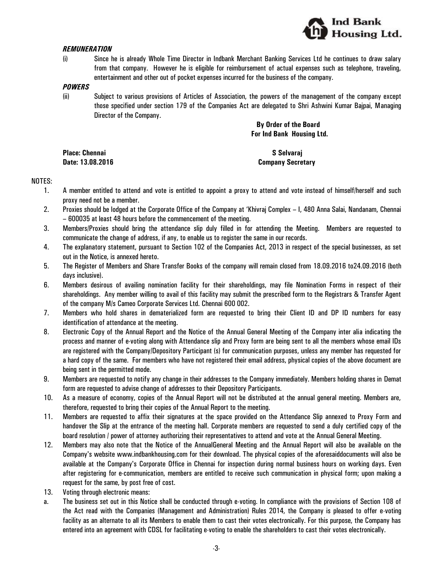

#### *REMUNERATION*

(i) Since he is already Whole Time Director in Indbank Merchant Banking Services Ltd he continues to draw salary from that company. However he is eligible for reimbursement of actual expenses such as telephone, traveling, entertainment and other out of pocket expenses incurred for the business of the company.

#### *POWERS*

(ii) Subject to various provisions of Articles of Association, the powers of the management of the company except those specified under section 179 of the Companies Act are delegated to Shri Ashwini Kumar Bajpai, Managing Director of the Company.

#### **By Order of the Board For Ind Bank Housing Ltd.**

**Place: Chennai S Selvaraj**

# **Date: 13.08.2016 Company Secretary**

#### NOTES:

- 1. A member entitled to attend and vote is entitled to appoint a proxy to attend and vote instead of himself/herself and such proxy need not be a member.
- 2. Proxies should be lodged at the Corporate Office of the Company at 'Khivraj Complex I, 480 Anna Salai, Nandanam, Chennai – 600035 at least 48 hours before the commencement of the meeting.
- 3. Members/Proxies should bring the attendance slip duly filled in for attending the Meeting. Members are requested to communicate the change of address, if any, to enable us to register the same in our records.
- 4. The explanatory statement, pursuant to Section 102 of the Companies Act, 2013 in respect of the special businesses, as set out in the Notice, is annexed hereto.
- 5. The Register of Members and Share Transfer Books of the company will remain closed from 18.09.2016 to24.09.2016 (both days inclusive).
- 6. Members desirous of availing nomination facility for their shareholdings, may file Nomination Forms in respect of their shareholdings. Any member willing to avail of this facility may submit the prescribed form to the Registrars & Transfer Agent of the company M/s Cameo Corporate Services Ltd. Chennai 600 002.
- 7. Members who hold shares in dematerialized form are requested to bring their Client ID and DP ID numbers for easy identification of attendance at the meeting.
- 8. Electronic Copy of the Annual Report and the Notice of the Annual General Meeting of the Company inter alia indicating the process and manner of e-voting along with Attendance slip and Proxy form are being sent to all the members whose email IDs are registered with the Company/Depository Participant (s) for communication purposes, unless any member has requested for a hard copy of the same. For members who have not registered their email address, physical copies of the above document are being sent in the permitted mode.
- 9. Members are requested to notify any change in their addresses to the Company immediately. Members holding shares in Demat form are requested to advise change of addresses to their Depository Participants.
- 10. As a measure of economy, copies of the Annual Report will not be distributed at the annual general meeting. Members are, therefore, requested to bring their copies of the Annual Report to the meeting.
- 11. Members are requested to affix their signatures at the space provided on the Attendance Slip annexed to Proxy Form and handover the Slip at the entrance of the meeting hall. Corporate members are requested to send a duly certified copy of the board resolution / power of attorney authorizing their representatives to attend and vote at the Annual General Meeting.
- 12. Members may also note that the Notice of the AnnualGeneral Meeting and the Annual Report will also be available on the Company's website [www.indbankhousing.com](http://www.indbankhousing.com/) for their download. The physical copies of the aforesaiddocuments will also be available at the Company's Corporate Office in Chennai for inspection during normal business hours on working days. Even after registering for e-communication, members are entitled to receive such communication in physical form; upon making a request for the same, by post free of cost.
- 13. Voting through electronic means:
- a. The business set out in this Notice shall be conducted through e-voting. In compliance with the provisions of Section 108 of the Act read with the Companies (Management and Administration) Rules 2014, the Company is pleased to offer e-voting facility as an alternate to all its Members to enable them to cast their votes electronically. For this purpose, the Company has entered into an agreement with CDSL for facilitating e-voting to enable the shareholders to cast their votes electronically.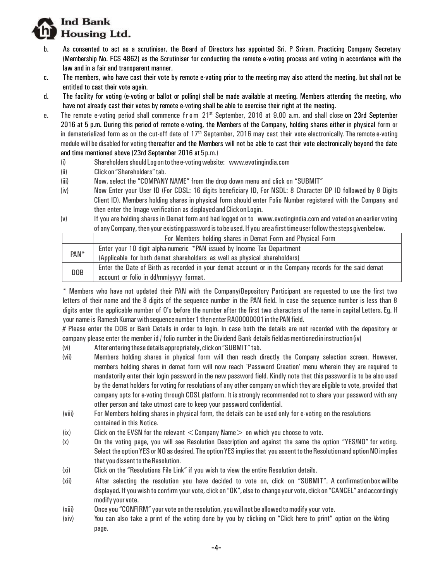# **Ind Bank Housing Ltd.**

- b. As consented to act as a scrutiniser, the Board of Directors has appointed Sri. P Sriram, Practicing Company Secretary (Membership No. FCS 4862) as the Scrutiniser for conducting the remote e-voting process and voting in accordance with the law and in a fair and transparent manner.
- c. The members, who have cast their vote by remote e-voting prior to the meeting may also attend the meeting, but shall not be entitled to cast their vote again.
- d. The facility for voting (e-voting or ballot or polling) shall be made available at meeting. Members attending the meeting, who have not already cast their votes by remote e-voting shall be able to exercise their right at the meeting.
- e. The remote e-voting period shall commence from 21st September, 2016 at 9.00 a.m. and shall close on 23rd September 2016 at 5 p.m. During this period of remote e-voting, the Members of the Company, holding shares either in physical form or in dematerialized form as on the cut-off date of 17th September, 2016 may cast their vote electronically. The remote e-voting module will be disabled forvoting thereafter and the Members will not be able to cast their vote electronically beyond the date and time mentioned above (23rd September 2016 at 5p.m.)
	- (i) Shareholders should Log on to the e-voting website: [www.evotingindia.com](http://www.evotingindia.com/)
	- (ii) Click on"Shareholders"tab.
	- (iii) Now, select the "COMPANY NAME" from the drop down menu and click on "SUBMIT"
	- (iv) Now Enter your User ID (For CDSL: 16 digits beneficiary ID, For NSDL: 8 Character DP ID followed by 8 Digits Client ID). Members holding shares in physical form should enter Folio Number registered with the Company and then enter the Image verification as displayed and Click on Login.
	- (v) If you are holding shares in Demat form and had logged on to [www.evotingindia.com](http://www.evotingindia.com/) and voted on an earliervoting of anyCompany,then yourexisting password isto be used. If you are afirsttimeuserfollowthesteps given below.

|                  | For Members holding shares in Demat Form and Physical Form                                             |
|------------------|--------------------------------------------------------------------------------------------------------|
|                  | Enter your 10 digit alpha-numeric *PAN issued by Income Tax Department                                 |
| PAN*             | (Applicable for both demat shareholders as well as physical shareholders)                              |
| D <sub>O</sub> B | Enter the Date of Birth as recorded in your demat account or in the Company records for the said demat |
|                  | account or folio in dd/mm/yyyy format.                                                                 |

Members who have not updated their PAN with the Company/Depository Participant are requested to use the first two letters of their name and the 8 digits of the sequence number in the PAN field. In case the sequence number is less than 8 digits enter the applicable number of 0's before the number after the first two characters of the name in capital Letters. Eg. If your name is Ramesh Kumar with sequence number 1 then enter RA00000001 in the PAN field.

# Please enter the DOB or Bank Details in order to login. In case both the details are not recorded with the depository or company please enter the member id / folio number in the Dividend Bank details field as mentioned in instruction (iv)

- (vi) After entering these details appropriately, click on "SUBMIT" tab.
- (vii) Members holding shares in physical form will then reach directly the Company selection screen. However, members holding shares in demat form will now reach 'Password Creation' menu wherein they are required to mandatorily enter their login password in the new password field. Kindly note that this password is to be also used by the demat holders for voting for resolutions of any other company on which they are eligible to vote, provided that company opts fore-voting through CDSL platform. It isstrongly recommended not to share your password with any other person and take utmost care to keep your password confidential.
- (viii) For Members holding shares in physical form, the details can be used only for e-voting on the resolutions contained in this Notice.
- $(ix)$  Click on the EVSN for the relevant  $\langle$  Company Name  $>$  on which you choose to vote.
- (x) On the voting page, you will see Resolution Description and against the same the option "YES/NO" for voting. Select the option YES or NO as desired. The option YES implies that you assent to the Resolution and option NO implies that you dissent to the Resolution.
- (xi) Click on the "Resolutions File Link" if you wish to view the entire Resolution details.
- (xii) After selecting the resolution you have decided to vote on, click on "SUBMIT". A confirmation boxwill be displayed. If you wish to confirm your vote, click on "OK", else to change your vote, click on "CANCEL" and accordingly modify your vote.
- (xiii) Once you "CONFIRM" yourvote on theresolution, youwill not be allowed tomodify your vote.
- (xiv) You can also take a print of the voting done by you by clicking on "Click here to print" option on the Voting page.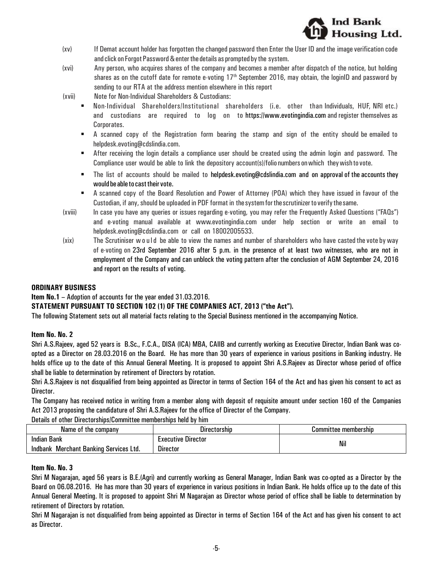

- (xv) If Demat account holder has forgotten the changed password then Enter the User ID and the image verification code and click on Forgot Password&enterthe details as prompted by the system.
- (xvi) Any person, who acquires shares of the company and becomes a member after dispatch of the notice, but holding shares as on the cutoff date for remote e-voting 17<sup>th</sup> September 2016, may obtain, the loginID and password by sending to our RTA at the address mention elsewhere in this report
- (xvii) Note for Non-Individual Shareholders & Custodians:
	- Non-Individual Shareholders/Institutional shareholders (i.e. other than Individuals, HUF, NRI etc.) and custodians are required to log on to [https://www.evotingindia.com](http://www.evotingindia.com/) and register themselves as Corporates.
	- A scanned copy of the Registration form bearing the stamp and sign of the entity should be emailed to [helpdesk.evoting@cdslindia.com.](mailto:evoting@cdslindia.com)
	- After receiving the login details a compliance user should be created using the admin login and password. The Compliance user would be able to link the depository account(s)/folio numbers onwhich theywish tovote.
	- The list of accounts should be mailed to [helpdesk.evoting@cdslindia.com](mailto:helpdesk.evoting@cdslindia.com%20and%20on%20approval%20of%20the%20accounts%20they%20would%20be%20able%20to%20cast%20their%20vote.) and on approval of the accounts they would be able to cast their vote.
	- A scanned copy of the Board Resolution and Power of Attorney (POA) which they have issued in favour of the Custodian, if any, should be uploaded in PDF format in the system for the scrutinizer to verify the same.
- (xviii) In case you have any queries or issues regarding e-voting, you may refer the Frequently Asked Questions ("FAQs") and e-voting manual available at [www.evotingindia.com](http://www.evotingindia.com/) under help section or write an email to [helpdesk.evoting@cdslindia.com](mailto:evoting@cdslindia.com) or call on 18002005533.
- (xix) The Scrutiniser wo u ld be able to view the names and number of shareholders who have casted the vote by way of e-voting on 23rd September 2016 after 5 p.m. in the presence of at least two witnesses, who are not in employment of the Company and can unblock the voting pattern after the conclusion of AGM September 24, 2016 and report on the results of voting.

#### **ORDINARY BUSINESS**

**Item No.1** – Adoption of accounts for the year ended 31.03.2016.

#### **STATEMENT PURSUANT TO SECTION 102 (1) OF THE COMPANIES ACT, 2013 ("the Act").**

The following Statement sets out all material facts relating to the Special Business mentioned in the accompanying Notice.

#### **Item No. No. 2**

Shri A.S.Rajeev, aged 52 years is B.Sc., F.C.A., DISA (ICA) MBA, CAIIB and currently working as Executive Director, Indian Bank was coopted as a Director on 28.03.2016 on the Board. He has more than 30 years of experience in various positions in Banking industry. He holds office up to the date of this Annual General Meeting. It is proposed to appoint Shri A.S.Rajeev as Director whose period of office shall be liable to determination by retirement of Directors by rotation.

Shri A.S.Rajeev is not disqualified from being appointed as Director in terms of Section 164 of the Act and has given his consent to act as Director.

The Company has received notice in writing from a member along with deposit of requisite amount under section 160 of the Companies Act 2013 proposing the candidature of Shri A.S.Rajeev for the office of Director of the Company.

Details of other Directorships/Committee memberships held by him

| Name of the company                              | Directorship       | Committee membership |
|--------------------------------------------------|--------------------|----------------------|
| <b>Indian Bank</b>                               | Executive Director | Nil                  |
| Indbank<br><b>Merchant Banking Services Ltd.</b> | <b>Director</b>    |                      |

#### **Item No. No. 3**

Shri M Nagarajan, aged 56 years is B.E.(Agri) and currently working as General Manager, Indian Bank was co-opted as a Director by the Board on 06.08.2016. He has more than 30 years of experience in various positions in Indian Bank. He holds office up to the date of this Annual General Meeting. It is proposed to appoint Shri M Nagarajan as Director whose period of office shall be liable to determination by retirement of Directors by rotation.

Shri M Nagarajan is not disqualified from being appointed as Director in terms of Section 164 of the Act and has given his consent to act as Director.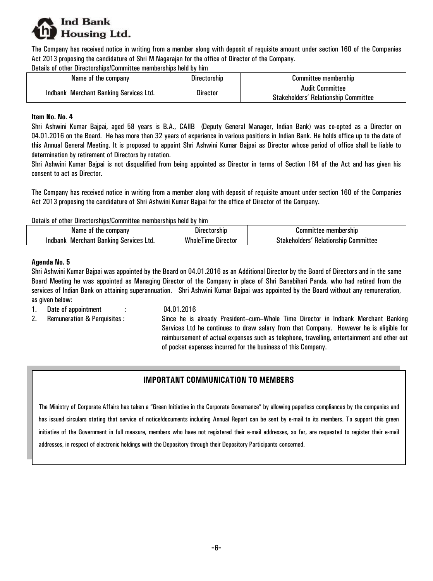# **Ind Bank Housing Ltd.**

The Company has received notice in writing from a member along with deposit of requisite amount under section 160 of the Companies Act 2013 proposing the candidature of Shri M Nagarajan for the office of Director of the Company.

Details of other Directorships/Committee memberships held by him

| Name of the company                    | Directorship | Committee membership                                                  |
|----------------------------------------|--------------|-----------------------------------------------------------------------|
| Indbank Merchant Banking Services Ltd. | Director     | <b>Audit Committee</b><br><b>Stakeholders' Relationship Committee</b> |

#### **Item No. No. 4**

Shri Ashwini Kumar Bajpai, aged 58 years is B.A., CAIIB (Deputy General Manager, Indian Bank) was co-opted as a Director on 04.01.2016 on the Board. He has more than 32 years of experience in various positions in Indian Bank. He holds office up to the date of this Annual General Meeting. It is proposed to appoint Shri Ashwini Kumar Bajpai as Director whose period of office shall be liable to determination by retirement of Directors by rotation.

Shri Ashwini Kumar Bajpai is not disqualified from being appointed as Director in terms of Section 164 of the Act and has given his consent to act as Director.

The Company has received notice in writing from a member along with deposit of requisite amount under section 160 of the Companies Act 2013 proposing the candidature of Shri Ashwini Kumar Bajpai for the office of Director of the Company.

Details of other Directorships/Committee memberships held by him

| company.<br>Name<br>rne<br>uı                               | Directorshin                 | e membership<br>Commi<br>rree             |
|-------------------------------------------------------------|------------------------------|-------------------------------------------|
| <br>'ndhani<br>Ltd.<br>.chant<br>Services<br>Bankınd<br>Me! | Whole<br>l ime<br>. Director | Committee<br>takeholder:د<br>Kelationshin |

#### **Agenda No. 5**

Shri Ashwini Kumar Bajpai was appointed by the Board on 04.01.2016 as an Additional Director by the Board of Directors and in the same Board Meeting he was appointed as Managing Director of the Company in place of Shri Banabihari Panda, who had retired from the services of Indian Bank on attaining superannuation. Shri Ashwini Kumar Bajpai was appointed by the Board without any remuneration, as given below:

- 1. Date of appointment : 04.01.2016
	-

2. Remuneration & Perquisites : Since he is already President–cum–Whole Time Director in Indbank Merchant Banking Services Ltd he continues to draw salary from that Company. However he is eligible for reimbursement of actual expenses such as telephone, travelling, entertainment and other out of pocket expenses incurred for the business of this Company.

# **IMPORTANT COMMUNICATION TO MEMBERS**

The Ministry of Corporate Affairs has taken a "Green Initiative in the Corporate Governance" by allowing paperless compliances by the companies and has issued circulars stating that service of notice/documents including Annual Report can be sent by e-mail to its members. To support this green initiative of the Government in full measure, members who have not registered their e-mail addresses, so far, are requested to register their e-mail addresses, in respect of electronic holdings with the Depository through their Depository Participants concerned.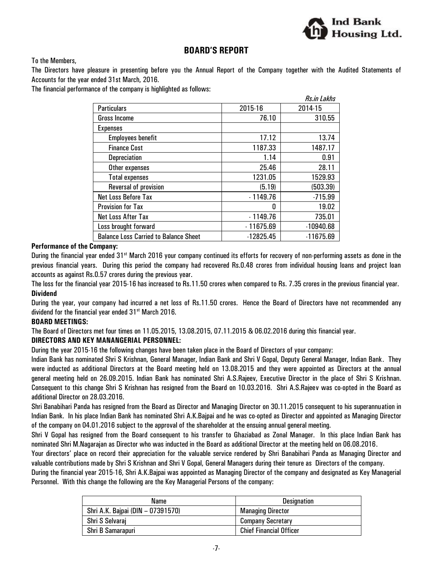

# **BOARD'S REPORT**

To the Members,

The Directors have pleasure in presenting before you the Annual Report of the Company together with the Audited Statements of Accounts for the year ended 31st March, 2016.

The financial performance of the company is highlighted as follows:

|                                              |             | Rs.in Lakhs |
|----------------------------------------------|-------------|-------------|
| <b>Particulars</b>                           | 2015-16     | 2014-15     |
| Gross Income                                 | 76.10       | 310.55      |
| <b>Expenses</b>                              |             |             |
| <b>Employees benefit</b>                     | 17.12       | 13.74       |
| <b>Finance Cost</b>                          | 1187.33     | 1487.17     |
| <b>Depreciation</b>                          | 1.14        | 0.91        |
| Other expenses                               | 25.46       | 28.11       |
| <b>Total expenses</b>                        | 1231.05     | 1529.93     |
| Reversal of provision                        | (5.19)      | (503.39)    |
| <b>Net Loss Before Tax</b>                   | $-1149.76$  | $-715.99$   |
| <b>Provision for Tax</b>                     | ۵           | 19.02       |
| Net Loss After Tax                           | $-1149.76$  | 735.01      |
| Loss brought forward                         | $-11675.69$ | $-10940.68$ |
| <b>Balance Loss Carried to Balance Sheet</b> | $-12825.45$ | $-11675.69$ |

#### **Performance of the Company:**

During the financial year ended 31<sup>st</sup> March 2016 your company continued its efforts for recovery of non-performing assets as done in the previous financial years. During this period the company had recovered Rs.0.48 crores from individual housing loans and project loan accounts as against Rs.0.57 crores during the previous year.

The loss for the financial year 2015-16 has increased to Rs.11.50 crores when compared to Rs. 7.35 crores in the previous financial year. **Dividend**

During the year, your company had incurred a net loss of Rs.11.50 crores. Hence the Board of Directors have not recommended any dividend for the financial year ended  $31<sup>st</sup>$  March 2016.

#### **BOARD MEETINGS:**

The Board of Directors met four times on 11.05.2015, 13.08.2015, 07.11.2015 & 06.02.2016 during this financial year.

#### **DIRECTORS AND KEY MANANGERIAL PERSONNEL:**

During the year 2015-16 the following changes have been taken place in the Board of Directors of your company:

Indian Bank has nominated Shri S Krishnan, General Manager, Indian Bank and Shri V Gopal, Deputy General Manager, Indian Bank. They were inducted as additional Directors at the Board meeting held on 13.08.2015 and they were appointed as Directors at the annual general meeting held on 26.09.2015. Indian Bank has nominated Shri A.S.Rajeev, Executive Director in the place of Shri S Krishnan. Consequent to this change Shri S Krishnan has resigned from the Board on 10.03.2016. Shri A.S.Rajeev was co-opted in the Board as additional Director on 28.03.2016.

Shri Banabihari Panda has resigned from the Board as Director and Managing Director on 30.11.2015 consequent to his superannuation in Indian Bank. In his place Indian Bank has nominated Shri A.K.Bajpai and he was co-opted as Director and appointed as Managing Director of the company on 04.01.2016 subject to the approval of the shareholder at the ensuing annual general meeting.

Shri V Gopal has resigned from the Board consequent to his transfer to Ghaziabad as Zonal Manager. In this place Indian Bank has nominated Shri M.Nagarajan as Director who was inducted in the Board as additional Director at the meeting held on 06.08.2016.

Your directors' place on record their appreciation for the valuable service rendered by Shri Banabihari Panda as Managing Director and valuable contributions made by Shri S Krishnan and Shri V Gopal, General Managers during their tenure as Directors of the company.

During the financial year 2015-16, Shri A.K.Bajpai was appointed as Managing Director of the company and designated as Key Managerial Personnel. With this change the following are the Key Managerial Persons of the company:

| Name                              | Designation                    |
|-----------------------------------|--------------------------------|
| Shri A.K. Bajpai (DIN - 07391570) | <b>Managing Director</b>       |
| Shri S Selvarai                   | <b>Company Secretary</b>       |
| Shri B Samarapuri                 | <b>Chief Financial Officer</b> |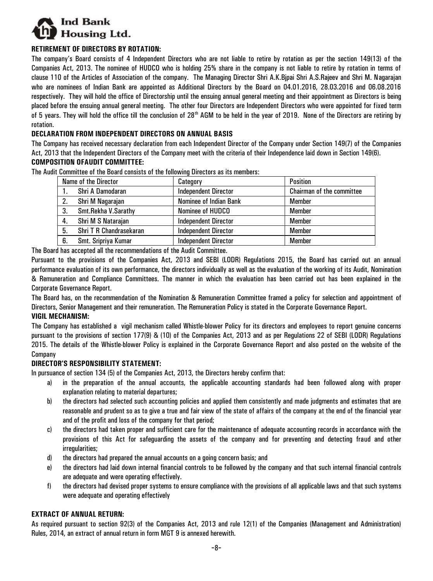# **Ind Bank Housing Ltd.**

#### **RETIREMENT OF DIRECTORS BY ROTATION:**

The company's Board consists of 4 Independent Directors who are not liable to retire by rotation as per the section 149(13) of the Companies Act, 2013. The nominee of HUDCO who is holding 25% share in the company is not liable to retire by rotation in terms of clause 110 of the Articles of Association of the company. The Managing Director Shri A.K.Bjpai Shri A.S.Rajeev and Shri M. Nagarajan who are nominees of Indian Bank are appointed as Additional Directors by the Board on 04.01.2016, 28.03.2016 and 06.08.2016 respectively. They will hold the office of Directorship until the ensuing annual general meeting and their appointment as Directors is being placed before the ensuing annual general meeting. The other four Directors are Independent Directors who were appointed for fixed term of 5 years. They will hold the office till the conclusion of  $28<sup>th</sup>$  AGM to be held in the year of 2019. None of the Directors are retiring by rotation.

#### **DECLARATION FROM INDEPENDENT DIRECTORS ON ANNUAL BASIS**

The Company has received necessary declaration from each Independent Director of the Company under Section 149(7) of the Companies Act, 2013 that the Independent Directors of the Company meet with the criteria of their Independence laid down in Section 149(6).

# **COMPOSITION OFAUDIT COMMITTEE:**

The Audit Committee of the Board consists of the following Directors as its members:

| Name of the Director |                         | Category                    | <b>Position</b>           |
|----------------------|-------------------------|-----------------------------|---------------------------|
|                      | Shri A Damodaran        | <b>Independent Director</b> | Chairman of the committee |
| 2.                   | Shri M Nagarajan        | Nominee of Indian Bank      | Member                    |
| 3.                   | Smt.Rekha V.Sarathy     | Nominee of HUDCO            | Member                    |
| 4.                   | Shri M S Natarajan      | <b>Independent Director</b> | Member                    |
| 5.                   | Shri T R Chandrasekaran | <b>Independent Director</b> | Member                    |
| 6.                   | Smt. Sripriya Kumar     | <b>Independent Director</b> | Member                    |

The Board has accepted all the recommendations of the Audit Committee.

Pursuant to the provisions of the Companies Act, 2013 and SEBI (LODR) Regulations 2015, the Board has carried out an annual performance evaluation of its own performance, the directors individually as well as the evaluation of the working of its Audit, Nomination & Remuneration and Compliance Committees. The manner in which the evaluation has been carried out has been explained in the Corporate Governance Report.

The Board has, on the recommendation of the Nomination & Remuneration Committee framed a policy for selection and appointment of Directors, Senior Management and their remuneration. The Remuneration Policy is stated in the Corporate Governance Report.

#### **VIGIL MECHANISM:**

The Company has established a vigil mechanism called Whistle-blower Policy for its directors and employees to report genuine concerns pursuant to the provisions of section 177(9) & (10) of the Companies Act, 2013 and as per Regulations 22 of SEBI (LODR) Regulations 2015. The details of the Whistle-blower Policy is explained in the Corporate Governance Report and also posted on the website of the Company

#### **DIRECTOR'S RESPONSIBILITY STATEMENT:**

In pursuance of section 134 (5) of the Companies Act, 2013, the Directors hereby confirm that:

- a) in the preparation of the annual accounts, the applicable accounting standards had been followed along with proper explanation relating to material departures;
- b) the directors had selected such accounting policies and applied them consistently and made judgments and estimates that are reasonable and prudent so as to give a true and fair view of the state of affairs of the company at the end of the financial year and of the profit and loss of the company for that period;
- c) the directors had taken proper and sufficient care for the maintenance of adequate accounting records in accordance with the provisions of this Act for safeguarding the assets of the company and for preventing and detecting fraud and other irregularities;
- d) the directors had prepared the annual accounts on a going concern basis; and
- e) the directors had laid down internal financial controls to be followed by the company and that such internal financial controls are adequate and were operating effectively.
- f) the directors had devised proper systems to ensure compliance with the provisions of all applicable laws and that such systems were adequate and operating effectively

#### **EXTRACT OF ANNUAL RETURN:**

As required pursuant to section 92(3) of the Companies Act, 2013 and rule 12(1) of the Companies (Management and Administration) Rules, 2014, an extract of annual return in form MGT 9 is annexed herewith.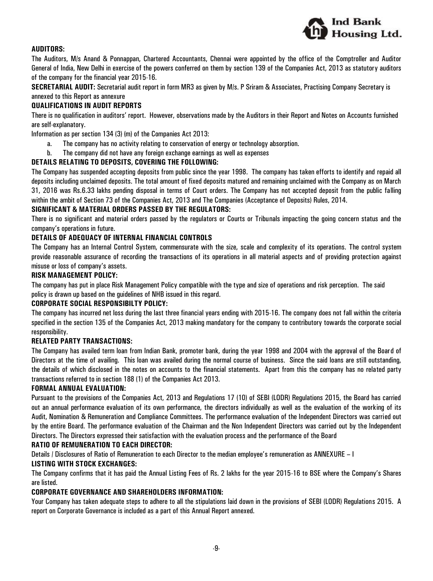

#### **AUDITORS:**

The Auditors, M/s Anand & Ponnappan, Chartered Accountants, Chennai were appointed by the office of the Comptroller and Auditor General of India, New Delhi in exercise of the powers conferred on them by section 139 of the Companies Act, 2013 as statutory auditors of the company for the financial year 2015-16.

**SECRETARIAL AUDIT:** Secretarial audit report in form MR3 as given by M/s. P Sriram & Associates, Practising Company Secretary is annexed to this Report as annexure

#### **QUALIFICATIONS IN AUDIT REPORTS**

There is no qualification in auditors' report. However, observations made by the Auditors in their Report and Notes on Accounts furnished are self-explanatory.

Information as per section 134 (3) (m) of the Companies Act 2013:

- a. The company has no activity relating to conservation of energy or technology absorption.
- The company did not have any foreign exchange earnings as well as expenses

#### **DETAILS RELATING TO DEPOSITS, COVERING THE FOLLOWING:**

The Company has suspended accepting deposits from public since the year 1998. The company has taken efforts to identify and repaid all deposits including unclaimed deposits. The total amount of fixed deposits matured and remaining unclaimed with the Company as on March 31, 2016 was Rs.6.33 lakhs pending disposal in terms of Court orders. The Company has not accepted deposit from the public falling within the ambit of Section 73 of the Companies Act, 2013 and The Companies (Acceptance of Deposits) Rules, 2014.

#### **SIGNIFICANT & MATERIAL ORDERS PASSED BY THE REGULATORS:**

There is no significant and material orders passed by the regulators or Courts or Tribunals impacting the going concern status and the company's operations in future.

#### **DETAILS OF ADEQUACY OF INTERNAL FINANCIAL CONTROLS**

The Company has an Internal Control System, commensurate with the size, scale and complexity of its operations. The control system provide reasonable assurance of recording the transactions of its operations in all material aspects and of providing protection against misuse or loss of company's assets.

#### **RISK MANAGEMENT POLICY:**

The company has put in place Risk Management Policy compatible with the type and size of operations and risk perception. The said policy is drawn up based on the guidelines of NHB issued in this regard.

#### **CORPORATE SOCIAL RESPONSIBILTY POLICY:**

The company has incurred net loss during the last three financial years ending with 2015-16. The company does not fall within the criteria specified in the section 135 of the Companies Act, 2013 making mandatory for the company to contributory towards the corporate social responsibility.

#### **RELATED PARTY TRANSACTIONS:**

The Company has availed term loan from Indian Bank, promoter bank, during the year 1998 and 2004 with the approval of the Board of Directors at the time of availing. This loan was availed during the normal course of business. Since the said loans are still outstanding, the details of which disclosed in the notes on accounts to the financial statements. Apart from this the company has no related party transactions referred to in section 188 (1) of the Companies Act 2013.

#### **FORMAL ANNUAL EVALUATION:**

Pursuant to the provisions of the Companies Act, 2013 and Regulations 17 (10) of SEBI (LODR) Regulations 2015, the Board has carried out an annual performance evaluation of its own performance, the directors individually as well as the evaluation of the working of its Audit, Nomination & Remuneration and Compliance Committees. The performance evaluation of the Independent Directors was carried out by the entire Board. The performance evaluation of the Chairman and the Non Independent Directors was carried out by the Independent Directors. The Directors expressed their satisfaction with the evaluation process and the performance of the Board

#### **RATIO OF REMUNERATION TO EACH DIRECTOR:**

Details / Disclosures of Ratio of Remuneration to each Director to the median employee's remuneration as ANNEXURE – I

#### **LISTING WITH STOCK EXCHANGES:**

The Company confirms that it has paid the Annual Listing Fees of Rs. 2 lakhs for the year 2015-16 to BSE where the Company's Shares are listed.

#### **CORPORATE GOVERNANCE AND SHAREHOLDERS INFORMATION:**

Your Company has taken adequate steps to adhere to all the stipulations laid down in the provisions of SEBI (LODR) Regulations 2015. A report on Corporate Governance is included as a part of this Annual Report annexed.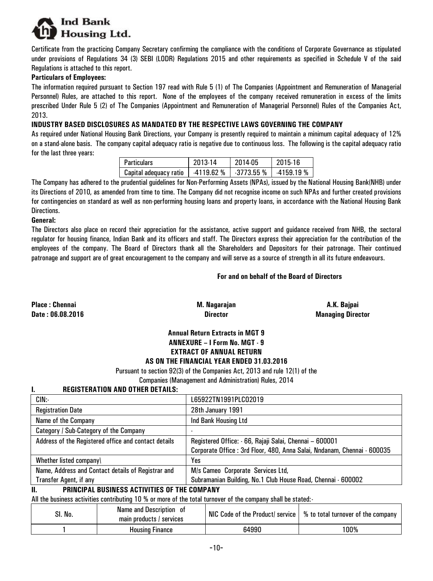# **Ind Bank Housing Ltd.**

Certificate from the practicing Company Secretary confirming the compliance with the conditions of Corporate Governance as stipulated under provisions of Regulations 34 (3) SEBI (LODR) Regulations 2015 and other requirements as specified in Schedule V of the said Regulations is attached to this report.

#### **Particulars of Employees:**

The information required pursuant to Section 197 read with Rule 5 (1) of The Companies (Appointment and Remuneration of Managerial Personnel) Rules, are attached to this report. None of the employees of the company received remuneration in excess of the limits prescribed Under Rule 5 (2) of The Companies (Appointment and Remuneration of Managerial Personnel) Rules of the Companies Act, 2013.

#### **INDUSTRY BASED DISCLOSURES AS MANDATED BY THE RESPECTIVE LAWS GOVERNING THE COMPANY**

As required under National Housing Bank Directions, your Company is presently required to maintain a minimum capital adequacy of 12% on a stand-alone basis. The company capital adequacy ratio is negative due to continuous loss. The following is the capital adequacy ratio for the last three years:

| <b>Particulars</b>     | 2013-14     | 2014-05      | 2015-16    |
|------------------------|-------------|--------------|------------|
| Capital adequacy ratio | $-4119.62%$ | $-3773.55$ % | -4159.19 % |

The Company has adhered to the prudential guidelines for Non-Performing Assets (NPAs), issued by the National Housing Bank(NHB) under its Directions of 2010, as amended from time to time. The Company did not recognise income on such NPAs and further created provisions for contingencies on standard as well as non-performing housing loans and property loans, in accordance with the National Housing Bank Directions.

#### **General:**

The Directors also place on record their appreciation for the assistance, active support and guidance received from NHB, the sectoral regulator for housing finance, Indian Bank and its officers and staff. The Directors express their appreciation for the contribution of the employees of the company. The Board of Directors thank all the Shareholders and Depositors for their patronage. Their continued patronage and support are of great encouragement to the company and will serve as a source of strength in all its future endeavours.

#### **For and on behalf of the Board of Directors**

**Place : Chennai M. Nagarajan A.K. Bajpai**

**Date : 06.08.2016 Director Managing Director**

#### **Annual Return Extracts in MGT 9 ANNEXURE – I Form No. MGT - 9 EXTRACT OF ANNUAL RETURN AS ON THE FINANCIAL YEAR ENDED 31.03.2016**

Pursuant to section 92(3) of the Companies Act, 2013 and rule 12(1) of the

Companies (Management and Administration) Rules, 2014 **I. REGISTERATION AND OTHER DETAILS:**

| CIN:                                                      | L65922TN1991PLC02019                                                    |  |  |  |
|-----------------------------------------------------------|-------------------------------------------------------------------------|--|--|--|
| <b>Registration Date</b>                                  | 28th January 1991                                                       |  |  |  |
| Name of the Company                                       | Ind Bank Housing Ltd                                                    |  |  |  |
| Category / Sub-Category of the Company                    |                                                                         |  |  |  |
| Address of the Registered office and contact details      | Registered Office: - 66, Rajaji Salai, Chennai - 600001                 |  |  |  |
|                                                           | Corporate Office: 3rd Floor, 480, Anna Salai, Nndanam, Chennai - 600035 |  |  |  |
| Whether listed company\                                   | Yes                                                                     |  |  |  |
| Name, Address and Contact details of Registrar and        | M/s Cameo Corporate Services Ltd,                                       |  |  |  |
| Transfer Agent, if any                                    | Subramanian Building, No.1 Club House Road, Chennai - 600002            |  |  |  |
| <b>PRINCIPAL BUSINESS ACTIVITIES OF THE COMPANY</b><br>Ш. |                                                                         |  |  |  |

#### All the business activities contributing 10 % or more of the total turnover of the company shall be stated:-

| SI. No. | Name and Description of<br>main products / services | NIC Code of the Product/ service | % to total turnover of the company |
|---------|-----------------------------------------------------|----------------------------------|------------------------------------|
|         | <b>Housing Finance</b>                              | 64990                            | 100%                               |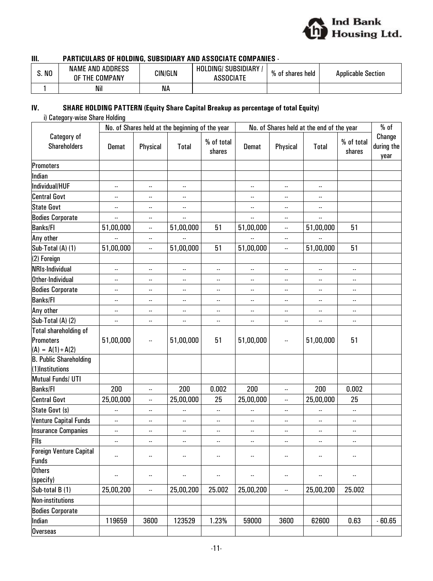

# **III. PARTICULARS OF HOLDING, SUBSIDIARY AND ASSOCIATE COMPANIES -**

| ა. NO | NAME AND ADDRESS<br>OF THE COMPANY | CIN/GLN | HOLDING/ SUBSIDIARY<br>ASSOCIATE | % of<br><sup>.</sup> shares held | <b>Applicable Section</b> |
|-------|------------------------------------|---------|----------------------------------|----------------------------------|---------------------------|
|       | Nil                                | ΝA      |                                  |                                  |                           |

# **IV. SHARE HOLDING PATTERN (Equity Share Capital Breakup as percentage of total Equity)**

i) Category-wise Share Holding

|                                                                  | No. of Shares held at the beginning of the year |          |           |                      | No. of Shares held at the end of the year |           |           |                      | % of                         |
|------------------------------------------------------------------|-------------------------------------------------|----------|-----------|----------------------|-------------------------------------------|-----------|-----------|----------------------|------------------------------|
| Category of<br><b>Shareholders</b>                               | <b>Demat</b>                                    | Physical | Total     | % of total<br>shares | Demat                                     | Physical  | Total     | % of total<br>shares | Change<br>during the<br>year |
| <b>Promoters</b>                                                 |                                                 |          |           |                      |                                           |           |           |                      |                              |
| Indian                                                           |                                                 |          |           |                      |                                           |           |           |                      |                              |
| Individual/HUF                                                   | ٠.                                              | Ξ.       | Ξ.        |                      |                                           | $\ddotsc$ | $\ddotsc$ |                      |                              |
| <b>Central Govt</b>                                              | ä.                                              | u,       | u.        |                      | u.                                        | ä.        | ä.        |                      |                              |
| <b>State Govt</b>                                                | $\ddotsc$                                       | Ξ.       | ٠.        |                      | ٠.                                        | Ξ.        | $\ddotsc$ |                      |                              |
| <b>Bodies Corporate</b>                                          | u,                                              |          | ă.        |                      | u,                                        |           | Ξ.        |                      |                              |
| <b>Banks/FI</b>                                                  | 51,00,000                                       | Ξ.       | 51,00,000 | 51                   | 51,00,000                                 | $\ddotsc$ | 51,00,000 | 51                   |                              |
| Any other                                                        | $\ddot{\phantom{a}}$                            | u,       |           |                      | u.                                        | $\ddotsc$ |           |                      |                              |
| Sub-Total (A) (1)                                                | 51,00,000                                       |          | 51,00,000 | 51                   | 51,00,000                                 | $\ddotsc$ | 51,00,000 | 51                   |                              |
| (2) Foreign                                                      |                                                 |          |           |                      |                                           |           |           |                      |                              |
| <b>NRIs-Individual</b>                                           | $\ddotsc$                                       | u.       | н.        | $\mathbf{u}$         | Ξ.                                        | Ξ.        | $\ddotsc$ | u.                   |                              |
| Other-Individual                                                 | $\Box$                                          | Ξ.       | ٠.        | Ω,                   |                                           | Ξ.        | Ξ.        | ц.                   |                              |
| <b>Bodies Corporate</b>                                          | $\ldots$                                        |          | ٠.        | $\ddotsc$            |                                           |           | $\ldots$  | ٠.                   |                              |
| <b>Banks/FI</b>                                                  | $\ddotsc$                                       | ä.       | Ξ.        | ä.                   | $\ddotsc$                                 | Ц,        | ٠.        | $\ddotsc$            |                              |
| Any other                                                        | ä.                                              | u,       | ä.        | ä,                   | ٠.                                        | ä.        | ă.        | u.                   |                              |
| Sub-Total (A) (2)                                                | ÷.                                              | u.       | Ξ.        | ä.                   |                                           |           | $\ddotsc$ | $\ddotsc$            |                              |
| Total shareholding of<br><b>Promoters</b><br>$(A) = A(1) + A(2)$ | 51,00,000                                       |          | 51,00,000 | 51                   | 51,00,000                                 | ٠.        | 51,00,000 | 51                   |                              |
| <b>B. Public Shareholding</b><br>(1)Institutions                 |                                                 |          |           |                      |                                           |           |           |                      |                              |
| Mutual Funds/ UTI                                                |                                                 |          |           |                      |                                           |           |           |                      |                              |
| <b>Banks/Fl</b>                                                  | 200                                             |          | 200       | 0.002                | 200                                       | ÷,        | 200       | 0.002                |                              |
| <b>Central Govt</b>                                              | 25,00,000                                       | Ξ.       | 25,00,000 | 25                   | 25,00,000                                 | u,        | 25,00,000 | 25                   |                              |
| State Govt (s)                                                   | $\ddotsc$                                       | ٠.       | н.        | $\mathbb{Z}^2$       | ٠.                                        | ٠.        | $\ddotsc$ | Ω.                   |                              |
| <b>Venture Capital Funds</b>                                     | $\ddotsc$                                       | ٠.       | ٠.        | u,                   | Ξ.                                        | ٠.        | $\sim$    | $\ddotsc$            |                              |
| <b>Insurance Companies</b>                                       | u.                                              | ä.       | ÷.        | ä,                   | Ω,                                        | ÷.        | $\ddotsc$ | u.                   |                              |
| FIIs                                                             | ă.                                              | u.       | $\ddotsc$ | ä.                   | u.                                        | ä.        | ä.        | u.                   |                              |
| Foreign Venture Capital<br><b>Funds</b>                          | Ц.                                              | ٠.       | $\ddotsc$ | $\ddotsc$            |                                           |           | ٠.        | ٠.                   |                              |
| <b>Others</b><br>(specify)                                       | Ξ.                                              |          | $\ddotsc$ | ٠.                   |                                           |           | ٠.        | ٠.                   |                              |
| Sub-total B (1)                                                  | 25,00,200                                       | u.       | 25,00,200 | 25.002               | 25,00,200                                 | ă.        | 25,00,200 | 25.002               |                              |
| Non-institutions                                                 |                                                 |          |           |                      |                                           |           |           |                      |                              |
| <b>Bodies Corporate</b>                                          |                                                 |          |           |                      |                                           |           |           |                      |                              |
| Indian                                                           | 119659                                          | 3600     | 123529    | 1.23%                | 59000                                     | 3600      | 62600     | 0.63                 | $-60.65$                     |
| <b>Overseas</b>                                                  |                                                 |          |           |                      |                                           |           |           |                      |                              |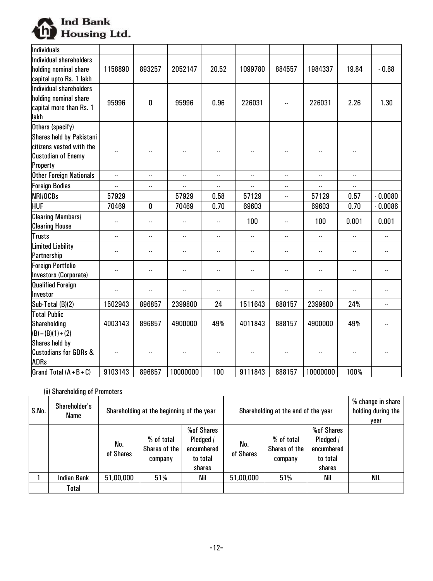| Ind Bank<br>Housing Ltd. |
|--------------------------|

| Individuals                      |                            |        |          |                      |         |        |           |       |           |
|----------------------------------|----------------------------|--------|----------|----------------------|---------|--------|-----------|-------|-----------|
| Individual shareholders          |                            |        |          |                      |         |        |           |       |           |
| holding nominal share            | 1158890                    | 893257 | 2052147  | 20.52                | 1099780 | 884557 | 1984337   | 19.84 | $-0.68$   |
| capital upto Rs. 1 lakh          |                            |        |          |                      |         |        |           |       |           |
| Individual shareholders          |                            |        |          |                      |         |        |           |       |           |
| holding nominal share            | 95996                      | 0      | 95996    | 0.96                 | 226031  | ٠.     | 226031    | 2.26  | 1.30      |
| capital more than Rs. 1          |                            |        |          |                      |         |        |           |       |           |
| lakh                             |                            |        |          |                      |         |        |           |       |           |
| Others (specify)                 |                            |        |          |                      |         |        |           |       |           |
| Shares held by Pakistani         |                            |        |          |                      |         |        |           |       |           |
| citizens vested with the         | $\overline{\phantom{a}}$ . |        |          |                      |         | ٠.     |           |       |           |
| <b>Custodian of Enemy</b>        |                            |        |          |                      |         |        |           |       |           |
| Property                         |                            |        |          |                      |         |        |           |       |           |
| <b>Other Foreign Nationals</b>   | u.                         | ٠.     | u.       | ä,                   | u.      | u.     | ٠.        | ä.    |           |
| <b>Foreign Bodies</b>            | $\ddotsc$                  | Ω,     | Ц,       | ä.                   | u.      | Ц,     | u.        | ä.    |           |
| NRI/OCBs                         | 57929                      |        | 57929    | 0.58                 | 57129   |        | 57129     | 0.57  | $-0.0080$ |
| <b>HUF</b>                       | 70469                      | 0      | 70469    | 0.70                 | 69603   |        | 69603     | 0.70  | $-0.0086$ |
| <b>Clearing Members/</b>         | $\ddot{\phantom{a}}$       | ä.     | ä.       | $\ddot{\phantom{a}}$ | 100     | ä.     | 100       | 0.001 | 0.001     |
| <b>Clearing House</b>            |                            |        |          |                      |         |        |           |       |           |
| <b>Trusts</b>                    | ٠.                         |        | Ш,       | μ.                   | ٠.      | Ш,     | ٠.        | Ξ.    | u.        |
| Limited Liability                | ٠.                         | ٠.     | ٠.       | $\ddotsc$            |         | ٠.     | ٠.        | ٠.    | $\ddotsc$ |
| Partnership                      |                            |        |          |                      |         |        |           |       |           |
| <b>Foreign Portfolio</b>         | ٠.                         | ٠.     | ٠.       | μ.                   | ٠.      | ٠.     | ٠.        | Ω.    | ٠.        |
| <b>Investors (Corporate)</b>     |                            |        |          |                      |         |        |           |       |           |
| <b>Qualified Foreign</b>         | ٠.                         | ٠.     | ٠.       | ٠.                   | ٠.      | ٠.     | Ξ.        | Ω.    | $\ddotsc$ |
| Investor                         |                            |        |          |                      |         |        |           |       |           |
| Sub-Total (B)(2)                 | 1502943                    | 896857 | 2399800  | 24                   | 1511643 | 888157 | 2399800   | 24%   | $\ddotsc$ |
| <b>Total Public</b>              |                            |        |          |                      |         |        |           |       |           |
| Shareholding                     | 4003143                    | 896857 | 4900000  | 49%                  | 4011843 | 888157 | 4900000   | 49%   |           |
| $(B) = (B)(1) + (2)$             |                            |        |          |                      |         |        |           |       |           |
| Shares held by                   |                            |        |          |                      |         |        |           |       |           |
| <b>Custodians for GDRs &amp;</b> | ٠.                         | ٠.     | ٠.       | ٠.                   | ٠.      | ٠.     | $\ddotsc$ | ٠.    | ۰.        |
| <b>ADRs</b>                      |                            |        |          |                      |         |        |           |       |           |
| Grand Total $(A + B + C)$        | 9103143                    | 896857 | 10000000 | 100                  | 9111843 | 888157 | 10000000  | 100%  |           |

(ii) Shareholding of Promoters

| S.No. | Shareholder's<br>Name | Shareholding at the beginning of the year |                                        |                                                             | Shareholding at the end of the year |                                        |                                                             | % change in share<br>holding during the<br>vear |
|-------|-----------------------|-------------------------------------------|----------------------------------------|-------------------------------------------------------------|-------------------------------------|----------------------------------------|-------------------------------------------------------------|-------------------------------------------------|
|       |                       | No.<br>of Shares                          | % of total<br>Shares of the<br>company | %of Shares<br>Pledged /<br>encumbered<br>to total<br>shares | No.<br>of Shares                    | % of total<br>Shares of the<br>company | %of Shares<br>Pledged /<br>encumbered<br>to total<br>shares |                                                 |
|       | <b>Indian Bank</b>    | 51.00.000                                 | 51%                                    | Nil                                                         | 51,00,000                           | 51%                                    | Nil                                                         | NIL                                             |
|       | Total                 |                                           |                                        |                                                             |                                     |                                        |                                                             |                                                 |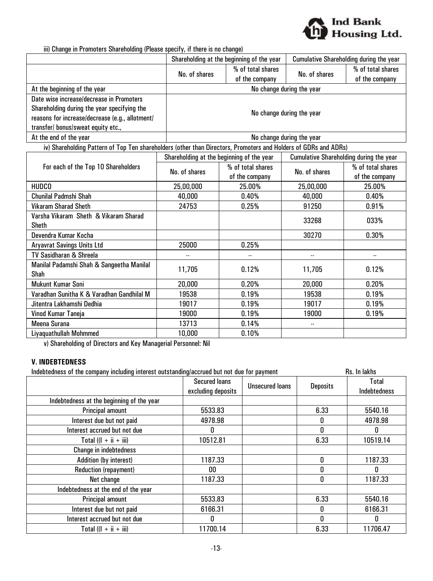

iii) Change in Promoters Shareholding (Please specify, if there is no change)

|                                                                                                                 |                                           | Shareholding at the beginning of the year |                                         | Cumulative Shareholding during the year |  |  |  |
|-----------------------------------------------------------------------------------------------------------------|-------------------------------------------|-------------------------------------------|-----------------------------------------|-----------------------------------------|--|--|--|
|                                                                                                                 | No. of shares                             | % of total shares<br>of the company       | No. of shares                           | % of total shares<br>of the company     |  |  |  |
| At the beginning of the year                                                                                    |                                           | No change during the year                 |                                         |                                         |  |  |  |
| Date wise increase/decrease in Promoters                                                                        |                                           |                                           |                                         |                                         |  |  |  |
| Shareholding during the year specifying the                                                                     |                                           |                                           | No change during the year               |                                         |  |  |  |
| reasons for increase/decrease (e.g., allotment/                                                                 |                                           |                                           |                                         |                                         |  |  |  |
| transfer/ bonus/sweat equity etc.,<br>At the end of the year                                                    |                                           |                                           | No change during the year               |                                         |  |  |  |
| iv) Shareholding Pattern of Top Ten shareholders (other than Directors, Promoters and Holders of GDRs and ADRs) |                                           |                                           |                                         |                                         |  |  |  |
|                                                                                                                 |                                           |                                           |                                         |                                         |  |  |  |
|                                                                                                                 | Shareholding at the beginning of the year |                                           | Cumulative Shareholding during the year |                                         |  |  |  |
| For each of the Top 10 Shareholders                                                                             | No. of shares                             | % of total shares<br>of the company       | No. of shares                           | % of total shares                       |  |  |  |
| <b>HUDCO</b>                                                                                                    |                                           |                                           |                                         | of the company                          |  |  |  |
|                                                                                                                 | 25,00,000                                 | 25.00%                                    | 25,00,000                               | 25.00%                                  |  |  |  |
| Chunilal Padmshi Shah                                                                                           | 40,000                                    | 0.40%                                     | 40.000                                  | 0.40%                                   |  |  |  |
| <b>Vikaram Sharad Sheth</b>                                                                                     | 24753                                     | 0.25%                                     | 91250                                   | 0.91%                                   |  |  |  |
| Varsha Vikaram Sheth & Vikaram Sharad                                                                           |                                           |                                           | 33268                                   | 033%                                    |  |  |  |
| Sheth                                                                                                           |                                           |                                           |                                         |                                         |  |  |  |
| Devendra Kumar Kocha                                                                                            |                                           |                                           | 30270                                   | 0.30%                                   |  |  |  |
| <b>Aryavrat Savings Units Ltd</b>                                                                               | 25000                                     | 0.25%                                     |                                         |                                         |  |  |  |
| TV Sasidharan & Shreela                                                                                         |                                           |                                           | ٠.                                      | ٠.                                      |  |  |  |
| Manilal Padamshi Shah & Sangeetha Manilal                                                                       | 11,705                                    | 0.12%                                     | 11,705                                  | 0.12%                                   |  |  |  |
| Shah                                                                                                            |                                           |                                           |                                         |                                         |  |  |  |
| Mukunt Kumar Soni                                                                                               | 20,000                                    | 0.20%                                     | 20,000                                  | 0.20%                                   |  |  |  |
| Varadhan Sunitha K & Varadhan Gandhilal M                                                                       | 19538                                     | 0.19%                                     | 19538                                   | 0.19%                                   |  |  |  |
| Jitentra Lakhamshi Dedhia                                                                                       | 19017                                     | 0.19%                                     | 19017                                   | 0.19%                                   |  |  |  |
| Vinod Kumar Taneja                                                                                              | 19000                                     | 0.19%                                     | 19000                                   | 0.19%                                   |  |  |  |
| Meena Surana                                                                                                    | 13713                                     | 0.14%                                     | $\ddotsc$                               |                                         |  |  |  |
| Liyaquathullah Mohmmed                                                                                          | 10,000                                    | 0.10%                                     |                                         |                                         |  |  |  |

v) Shareholding of Directors and Key Managerial Personnel: Nil

# **V. INDEBTEDNESS**

| Indebtedness of the company including interest outstanding/accrued but not due for payment<br>Rs. In lakhs |                      |                        |                 |                     |
|------------------------------------------------------------------------------------------------------------|----------------------|------------------------|-----------------|---------------------|
|                                                                                                            | <b>Secured loans</b> | <b>Unsecured loans</b> |                 | Total               |
|                                                                                                            | excluding deposits   |                        | <b>Deposits</b> | <b>Indebtedness</b> |
| Indebtedness at the beginning of the year                                                                  |                      |                        |                 |                     |
| Principal amount                                                                                           | 5533.83              |                        | 6.33            | 5540.16             |
| Interest due but not paid                                                                                  | 4978.98              |                        |                 | 4978.98             |
| Interest accrued but not due                                                                               | 0                    |                        | 0               | O                   |
| Total $(\vert \vert + \vert \vert + \vert \vert \vert)$                                                    | 10512.81             |                        | 6.33            | 10519.14            |
| Change in indebtedness                                                                                     |                      |                        |                 |                     |
| Addition (by interest)                                                                                     | 1187.33              |                        | 0               | 1187.33             |
| <b>Reduction (repayment)</b>                                                                               | 00                   |                        | 0               | O                   |
| Net change                                                                                                 | 1187.33              |                        | O               | 1187.33             |
| Indebtedness at the end of the year                                                                        |                      |                        |                 |                     |
| Principal amount                                                                                           | 5533.83              |                        | 6.33            | 5540.16             |
| Interest due but not paid                                                                                  | 6166.31              |                        | 0               | 6166.31             |
| Interest accrued but not due                                                                               | 0                    |                        | O               | 0                   |
| Total $(1 + ii + iii)$                                                                                     | 11700.14             |                        | 6.33            | 11706.47            |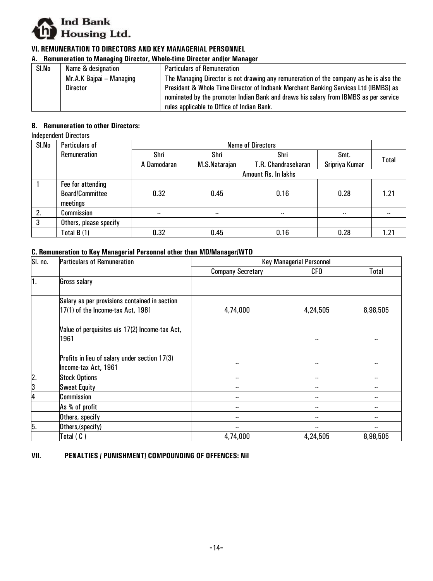# Ind Bank<br>Housing Ltd. ĽD)

# **VI. REMUNERATION TO DIRECTORS AND KEY MANAGERIAL PERSONNEL**

| A.    | <b>Remuneration to Managing Director, Whole-time Director and/or Manager</b> |                                                                                        |  |  |  |
|-------|------------------------------------------------------------------------------|----------------------------------------------------------------------------------------|--|--|--|
| SI.No | Name & designation                                                           | <b>Particulars of Remuneration</b>                                                     |  |  |  |
|       | Mr.A.K Baipai – Managing                                                     | The Managing Director is not drawing any remuneration of the company as he is also the |  |  |  |
|       | <b>Director</b>                                                              | President & Whole Time Director of Indbank Merchant Banking Services Ltd (IBMBS) as    |  |  |  |
|       |                                                                              | nominated by the promoter Indian Bank and draws his salary from IBMBS as per service   |  |  |  |
|       |                                                                              | rules applicable to Office of Indian Bank.                                             |  |  |  |

#### **B. Remuneration to other Directors:**

#### Independent Directors

| SI.No | Particulars of         | <b>Name of Directors</b> |                          |                     |                |              |
|-------|------------------------|--------------------------|--------------------------|---------------------|----------------|--------------|
|       | Remuneration           | Shri                     | Shri                     | Shri                | Smt.           | <b>Total</b> |
|       |                        | A Damodaran              | M.S.Natarajan            | T.R. Chandrasekaran | Sripriya Kumar |              |
|       |                        | Amount Rs. In lakhs      |                          |                     |                |              |
|       | Fee for attending      |                          |                          |                     |                |              |
|       | Board/Committee        | 0.32                     | 0.45                     | 0.16                | 0.28           | 1.21         |
|       | meetings               |                          |                          |                     |                |              |
| 2.    | Commission             | $\overline{\phantom{a}}$ | $\overline{\phantom{a}}$ | --                  |                |              |
| 3     | Others, please specify |                          |                          |                     |                |              |
|       | Total $B(1)$           | 0.32                     | 0.45                     | 0.16                | 0.28           | 1.21         |

# **C. Remuneration to Key Managerial Personnel other than MD/Manager/WTD**

| SI. no.          | <b>Particulars of Remuneration</b>                                                 | <b>Key Managerial Personnel</b> |          |          |  |  |
|------------------|------------------------------------------------------------------------------------|---------------------------------|----------|----------|--|--|
|                  |                                                                                    | <b>Company Secretary</b>        | CFO      | Total    |  |  |
| 1.               | <b>Gross salary</b>                                                                |                                 |          |          |  |  |
|                  | Salary as per provisions contained in section<br>17(1) of the Income-tax Act, 1961 | 4,74,000                        | 4,24,505 | 8,98,505 |  |  |
|                  | Value of perquisites u/s 17(2) Income-tax Act,<br>1961                             |                                 |          |          |  |  |
|                  | Profits in lieu of salary under section 17(3)<br>Income-tax Act, 1961              |                                 | ٠.       |          |  |  |
| $\overline{2}$ . | <b>Stock Options</b>                                                               |                                 |          | ۰.       |  |  |
| 3                | <b>Sweat Equity</b>                                                                |                                 |          |          |  |  |
| 4                | Commission                                                                         |                                 | ٠.       | ۰.       |  |  |
|                  | As % of profit                                                                     | ٠.                              | ٠.       | ۰.       |  |  |
|                  | Others, specify                                                                    |                                 |          |          |  |  |
| 5.               | Others, (specify)                                                                  |                                 | ٠.       |          |  |  |
|                  | Total (C)                                                                          | 4,74,000                        | 4,24,505 | 8,98,505 |  |  |

#### **VII. PENALTIES / PUNISHMENT/ COMPOUNDING OF OFFENCES: Nil**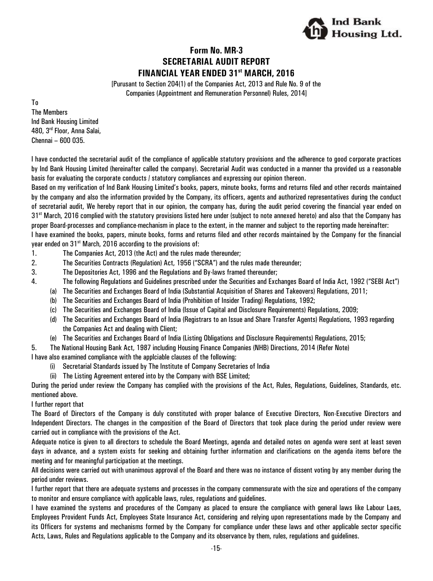**Ind Bank** Housing Ltd.

# **Form No. MR-3 SECRETARIAL AUDIT REPORT FINANCIAL YEAR ENDED 31st MARCH, 2016**

[Purusant to Section 204(1) of the Companies Act, 2013 and Rule No. 9 of the Companies (Appointment and Remuneration Personnel) Rules, 2014]

To The Members Ind Bank Housing Limited 480, 3rd Floor, Anna Salai, Chennai – 600 035.

I have conducted the secretarial audit of the compliance of applicable statutory provisions and the adherence to good corporate practices by Ind Bank Housing Limited (hereinafter called the company). Secretarial Audit was conducted in a manner tha provided us a reasonable basis for evaluating the corporate conducts / statutory compliances and expressing our opinion thereon.

Based on my verification of Ind Bank Housing Limited's books, papers, minute books, forms and returns filed and other records maintained by the company and also the information provided by the Company, its officers, agents and authorized representatives during the conduct of secretarial audit, We hereby report that in our opinion, the company has, during the audit period covering the financial year ended on  $31<sup>st</sup>$  March, 2016 complied with the statutory provisions listed here under (subject to note annexed hereto) and also that the Company has proper Board-processes and compliance-mechanism in place to the extent, in the manner and subject to the reporting made hereinafter:

I have examined the books, papers, minute books, forms and returns filed and other records maintained by the Company for the financial year ended on 31st March, 2016 according to the provisions of:

- 1. The Companies Act, 2013 (the Act) and the rules made thereunder;
- 2. The Securities Contracts (Regulation) Act, 1956 ("SCRA") and the rules made thereunder;
- 3. The Depositories Act, 1996 and the Regulations and By-laws framed thereunder;
- 4. The following Regulations and Guidelines prescribed under the Securities and Exchanges Board of India Act, 1992 ("SEBI Act")
	- (a) The Securities and Exchanges Board of India (Substantial Acquisition of Shares and Takeovers) Regulations, 2011;
	- (b) The Securities and Exchanges Board of India (Prohibition of Insider Trading) Regulations, 1992;
	- (c) The Securities and Exchanges Board of India (Issue of Capital and Disclosure Requirements) Regulations, 2009;
	- (d) The Securities and Exchanges Board of India (Registrars to an Issue and Share Transfer Agents) Regulations, 1993 regarding the Companies Act and dealing with Client;
	- (e) The Securities and Exchanges Board of India (Listing Obligations and Disclosure Requirements) Regulations, 2015;
- 5. The National Housing Bank Act, 1987 including Housing Finance Companies (NHB) Directions, 2014 (Refer Note)

I have also examined compliance with the applciable clauses of the following:

- (i) Secretarial Standards issued by The Institute of Company Secretaries of India
- (ii) The Listing Agreement entered into by the Company with BSE Limited;

During the period under review the Company has complied with the provisions of the Act, Rules, Regulations, Guidelines, Standards, etc. mentioned above.

#### I further report that

The Board of Directors of the Company is duly constituted with proper balance of Executive Directors, Non-Executive Directors and Independent Directors. The changes in the composition of the Board of Directors that took place during the period under review were carried out in compliance with the provisions of the Act.

Adequate notice is given to all directors to schedule the Board Meetings, agenda and detailed notes on agenda were sent at least seven days in advance, and a system exists for seeking and obtaining further information and clarifications on the agenda items before the meeting and for meaningful participation at the meetings.

All decisions were carried out with unanimous approval of the Board and there was no instance of dissent voting by any member during the period under reviews.

I further report that there are adequate systems and processes in the company commensurate with the size and operations of the company to monitor and ensure compliance with applicable laws, rules, regulations and guidelines.

I have examined the systems and procedures of the Company as placed to ensure the compliance with general laws like Labour Laes, Employees Provident Funds Act, Employees State Insurance Act, considering and relying upon representations made by the Company and its Officers for systems and mechanisms formed by the Company for compliance under these laws and other applicable sector specific Acts, Laws, Rules and Regulations applicable to the Company and its observance by them, rules, regulations and guidelines.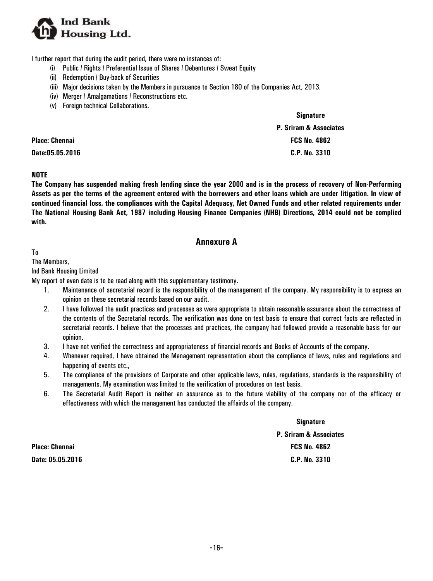

I further report that during the audit period, there were no instances of:

- (i) Public / Rights / Preferential Issue of Shares / Debentures / Sweat Equity
- (ii) Redemption / Buy-back of Securities
- (iii) Major decisions taken by the Members in pursuance to Section 180 of the Companies Act, 2013.
- (iv) Merger / Amalgamations / Reconstructions etc.
- (v) Foreign technical Collaborations.

**Signature P. Sriram & Associates Place: Chennai FCS No. 4862 Date:05.05.2016 C.P. No. 3310**

#### **NOTE**

**The Company has suspended making fresh lending since the year 2000 and is in the process of recovery of Non-Performing Assets as per the terms of the agreement entered with the borrowers and other loans which are under litigation. In view of continued financial loss, the compliances with the Capital Adequacy, Net Owned Funds and other related requirements under The National Housing Bank Act, 1987 including Housing Finance Companies (NHB) Directions, 2014 could not be complied with.**

#### **Annexure A**

To

The Members,

Ind Bank Housing Limited

My report of even date is to be read along with this supplementary testimony.

- 1. Maintenance of secretarial record is the responsibility of the management of the company. My responsibility is to express an opinion on these secretarial records based on our audit.
- 2. I have followed the audit practices and processes as were appropriate to obtain reasonable assurance about the correctness of the contents of the Secretarial records. The verification was done on test basis to ensure that correct facts are reflected in secretarial records. I believe that the processes and practices, the company had followed provide a reasonable basis for our opinion.
- 3. I have not verified the correctness and appropriateness of financial records and Books of Accounts of the company.
- 4. Whenever required, I have obtained the Management representation about the compliance of laws, rules and regulations and happening of events etc.,
- 5. The compliance of the provisions of Corporate and other applicable laws, rules, regulations, standards is the responsibility of managements. My examination was limited to the verification of procedures on test basis.
- 6. The Secretarial Audit Report is neither an assurance as to the future viability of the company nor of the efficacy or effectiveness with which the management has conducted the affairds of the company.

**Signature P. Sriram & Associates Place: Chennai FCS No. 4862 Date: 05.05.2016 C.P. No. 3310**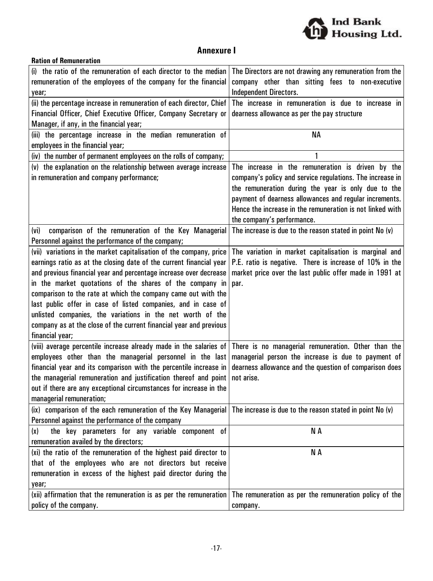

# **Annexure I**

| <b>Ration of Remuneration</b>                                        |                                                           |
|----------------------------------------------------------------------|-----------------------------------------------------------|
| (i) the ratio of the remuneration of each director to the median     | The Directors are not drawing any remuneration from the   |
| remuneration of the employees of the company for the financial       | company other than sitting fees to non-executive          |
| year;                                                                | Independent Directors.                                    |
| (ii) the percentage increase in remuneration of each director, Chief | The increase in remuneration is due to increase in        |
| Financial Officer, Chief Executive Officer, Company Secretary or     | dearness allowance as per the pay structure               |
| Manager, if any, in the financial year;                              |                                                           |
| (iii) the percentage increase in the median remuneration of          | ΝA                                                        |
| employees in the financial year;                                     |                                                           |
| (iv) the number of permanent employees on the rolls of company;      | 1                                                         |
| (v) the explanation on the relationship between average increase     | The increase in the remuneration is driven by the         |
| in remuneration and company performance;                             | company's policy and service regulations. The increase in |
|                                                                      | the remuneration during the year is only due to the       |
|                                                                      | payment of dearness allowances and regular increments.    |
|                                                                      | Hence the increase in the remuneration is not linked with |
|                                                                      | the company's performance.                                |
| comparison of the remuneration of the Key Managerial<br>(vi)         | The increase is due to the reason stated in point No (v)  |
| Personnel against the performance of the company;                    |                                                           |
| (vii) variations in the market capitalisation of the company, price  | The variation in market capitalisation is marginal and    |
| earnings ratio as at the closing date of the current financial year  | P.E. ratio is negative. There is increase of 10% in the   |
| and previous financial year and percentage increase over decrease    | market price over the last public offer made in 1991 at   |
| in the market quotations of the shares of the company in             | par.                                                      |
| comparison to the rate at which the company came out with the        |                                                           |
| last public offer in case of listed companies, and in case of        |                                                           |
| unlisted companies, the variations in the net worth of the           |                                                           |
| company as at the close of the current financial year and previous   |                                                           |
| financial year;                                                      |                                                           |
| (viii) average percentile increase already made in the salaries of   | There is no managerial remuneration. Other than the       |
| employees other than the managerial personnel in the last            | managerial person the increase is due to payment of       |
| financial year and its comparison with the percentile increase in    | dearness allowance and the question of comparison does    |
| the managerial remuneration and justification thereof and point      | not arise.                                                |
| out if there are any exceptional circumstances for increase in the   |                                                           |
| managerial remuneration;                                             |                                                           |
| (ix) comparison of the each remuneration of the Key Managerial       | The increase is due to the reason stated in point No (v)  |
| Personnel against the performance of the company                     |                                                           |
| the key parameters for any variable component of<br>(x)              | N A                                                       |
| remuneration availed by the directors;                               |                                                           |
| (xi) the ratio of the remuneration of the highest paid director to   | N A                                                       |
| that of the employees who are not directors but receive              |                                                           |
| remuneration in excess of the highest paid director during the       |                                                           |
| vear;                                                                |                                                           |
| (xii) affirmation that the remuneration is as per the remuneration   | The remuneration as per the remuneration policy of the    |
| policy of the company.                                               | company.                                                  |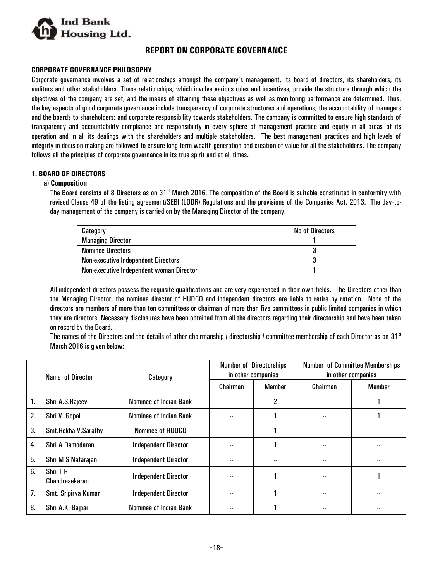

# **REPORT ON CORPORATE GOVERNANCE**

#### **CORPORATE GOVERNANCE PHILOSOPHY**

Corporate governance involves a set of relationships amongst the company's management, its board of directors, its shareholders, its auditors and other stakeholders. These relationships, which involve various rules and incentives, provide the structure through which the objectives of the company are set, and the means of attaining these objectives as well as monitoring performance are determined. Thus, the key aspects of good corporate governance include transparency of corporate structures and operations; the accountability of managers and the boards to shareholders; and corporate responsibility towards stakeholders. The company is committed to ensure high standards of transparency and accountability compliance and responsibility in every sphere of management practice and equity in all areas of its operation and in all its dealings with the shareholders and multiple stakeholders. The best management practices and high levels of integrity in decision making are followed to ensure long term wealth generation and creation of value for all the stakeholders. The company follows all the principles of corporate governance in its true spirit and at all times.

#### **1. BOARD OF DIRECTORS**

#### **a) Composition**

The Board consists of 8 Directors as on 31<sup>st</sup> March 2016. The composition of the Board is suitable constituted in conformity with revised Clause 49 of the listing agreement/SEBI (LODR) Regulations and the provisions of the Companies Act, 2013. The day-today management of the company is carried on by the Managing Director of the company.

| Category                                   | <b>No of Directors</b> |
|--------------------------------------------|------------------------|
| <b>Managing Director</b>                   |                        |
| <b>Nominee Directors</b>                   |                        |
| <b>Non-executive Independent Directors</b> |                        |
| Non-executive Independent woman Director   |                        |

All independent directors possess the requisite qualifications and are very experienced in their own fields. The Directors other than the Managing Director, the nominee director of HUDCO and independent directors are liable to retire by rotation. None of the directors are members of more than ten committees or chairman of more than five committees in public limited companies in which they are directors. Necessary disclosures have been obtained from all the directors regarding their directorship and have been taken on record by the Board.

The names of the Directors and the details of other chairmanship / directorship / committee membership of each Director as on  $31^{st}$ March 2016 is given below:

| Name of Director |                            | Category                    |                          | <b>Number of Directorships</b><br>in other companies |          | Number of Committee Memberships<br>in other companies |  |
|------------------|----------------------------|-----------------------------|--------------------------|------------------------------------------------------|----------|-------------------------------------------------------|--|
|                  |                            |                             | Chairman                 | Member                                               | Chairman | Member                                                |  |
| 1.               | Shri A.S.Rajeev            | Nominee of Indian Bank      | $\overline{\phantom{a}}$ | 2                                                    | ٠.       |                                                       |  |
| 2.               | Shri V. Gopal              | Nominee of Indian Bank      | $\overline{\phantom{a}}$ |                                                      |          |                                                       |  |
| 3.               | Smt.Rekha V.Sarathy        | Nominee of HUDCO            | $\overline{\phantom{a}}$ |                                                      |          |                                                       |  |
| 4.               | Shri A Damodaran           | <b>Independent Director</b> | $\overline{\phantom{a}}$ |                                                      |          |                                                       |  |
| 5.               | Shri M S Natarajan         | <b>Independent Director</b> | $\overline{\phantom{a}}$ | ٠.                                                   | ٠.       |                                                       |  |
| 6.               | Shri T R<br>Chandrasekaran | <b>Independent Director</b> | $\overline{\phantom{a}}$ |                                                      |          |                                                       |  |
| 7.               | Smt. Sripirya Kumar        | <b>Independent Director</b> | $\sim$                   |                                                      |          |                                                       |  |
| 8.               | Shri A.K. Bajpai           | Nominee of Indian Bank      | $\overline{\phantom{a}}$ |                                                      |          |                                                       |  |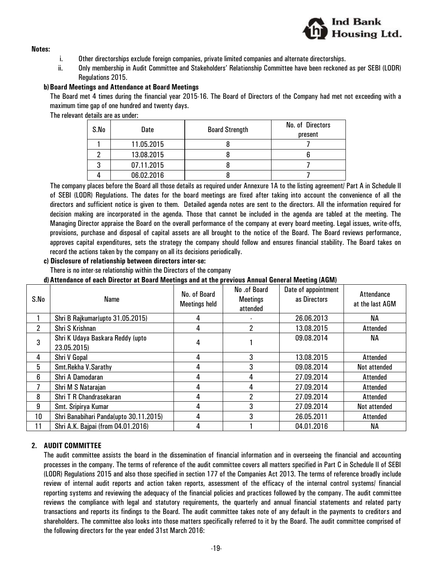

#### **Notes:**

- i. Other directorships exclude foreign companies, private limited companies and alternate directorships.
- ii. Only membership in Audit Committee and Stakeholders' Relationship Committee have been reckoned as per SEBI (LODR) Regulations 2015.

#### **b) Board Meetings and Attendance at Board Meetings**

The Board met 4 times during the financial year 2015-16. The Board of Directors of the Company had met not exceeding with a maximum time gap of one hundred and twenty days.

The relevant details are as under:

| S.No | Date       | <b>Board Strength</b> | No. of Directors<br>present |
|------|------------|-----------------------|-----------------------------|
|      | 11.05.2015 |                       |                             |
|      | 13.08.2015 |                       |                             |
|      | 07.11.2015 |                       |                             |
|      | 06.02.2016 |                       |                             |

The company places before the Board all those details as required under Annexure 1A to the listing agreement/ Part A in Schedule II of SEBI (LODR) Regulations. The dates for the board meetings are fixed after taking into account the convenience of all the directors and sufficient notice is given to them. Detailed agenda notes are sent to the directors. All the information required for decision making are incorporated in the agenda. Those that cannot be included in the agenda are tabled at the meeting. The Managing Director appraise the Board on the overall performance of the company at every board meeting. Legal issues, write-offs, provisions, purchase and disposal of capital assets are all brought to the notice of the Board. The Board reviews performance, approves capital expenditures, sets the strategy the company should follow and ensures financial stability. The Board takes on record the actions taken by the company on all its decisions periodically.

**c) Disclosure of relationship between directors inter-se:**

There is no inter-se relationship within the Directors of the company

**d) Attendance of each Director at Board Meetings and at the previous Annual General Meeting (AGM)**

| S.No | Name                                            | No. of Board<br><b>Meetings held</b> | No .of Board<br><b>Meetings</b><br>attended | Date of appointment<br>as Directors | Attendance<br>at the last AGM |
|------|-------------------------------------------------|--------------------------------------|---------------------------------------------|-------------------------------------|-------------------------------|
|      | Shri B Rajkumar(upto 31.05.2015)                | 4                                    |                                             | 26.06.2013                          | ΝA                            |
| 2    | Shri S Krishnan                                 | 4                                    | 2                                           | 13.08.2015                          | Attended                      |
| 3    | Shri K Udaya Baskara Reddy (upto<br>23.05.2015) | 4                                    |                                             | 09.08.2014                          | ΝA                            |
| 4    | Shri V Gopal                                    | 4                                    | 3                                           | 13.08.2015                          | Attended                      |
| 5    | Smt.Rekha V.Sarathy                             | 4                                    | 3                                           | 09.08.2014                          | Not attended                  |
| 6    | Shri A Damodaran                                | 4                                    | 4                                           | 27.09.2014                          | Attended                      |
|      | Shri M S Natarajan                              | 4                                    | 4                                           | 27.09.2014                          | Attended                      |
| 8    | Shri T R Chandrasekaran                         | 4                                    | 2                                           | 27.09.2014                          | Attended                      |
| 9    | Smt. Sripirya Kumar                             | 4                                    | 3                                           | 27.09.2014                          | Not attended                  |
| 10   | Shri Banabihari Panda(upto 30.11.2015)          | 4                                    | 3                                           | 26.05.2011                          | Attended                      |
| 11   | Shri A.K. Baipai (from 04.01.2016)              | 4                                    |                                             | 04.01.2016                          | ΝA                            |

#### **2. AUDIT COMMITTEE**

The audit committee assists the board in the dissemination of financial information and in overseeing the financial and accounting processes in the company. The terms of reference of the audit committee covers all matters specified in Part C in Schedule II of SEBI (LODR) Regulations 2015 and also those specified in section 177 of the Companies Act 2013. The terms of reference broadly include review of internal audit reports and action taken reports, assessment of the efficacy of the internal control systems/ financial reporting systems and reviewing the adequacy of the financial policies and practices followed by the company. The audit committee reviews the compliance with legal and statutory requirements, the quarterly and annual financial statements and related party transactions and reports its findings to the Board. The audit committee takes note of any default in the payments to creditors and shareholders. The committee also looks into those matters specifically referred to it by the Board. The audit committee comprised of the following directors for the year ended 31st March 2016: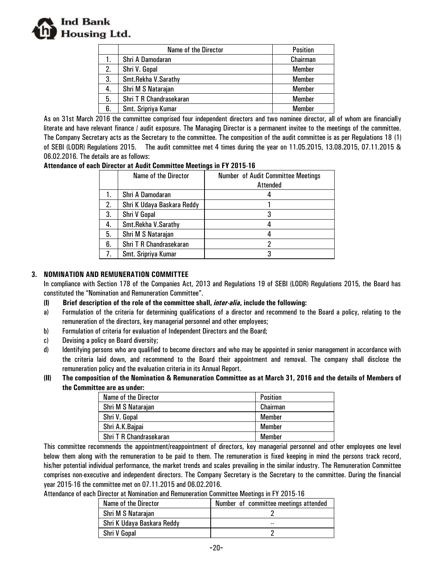

|    | Name of the Director    | Position      |
|----|-------------------------|---------------|
|    | Shri A Damodaran        | Chairman      |
| 2. | Shri V. Gopal           | Member        |
| 3. | Smt.Rekha V.Sarathy     | Member        |
| 4. | Shri M S Natarajan      | Member        |
| 5. | Shri T R Chandrasekaran | Member        |
| 6. | Smt. Sripriya Kumar     | <b>Member</b> |

As on 31st March 2016 the committee comprised four independent directors and two nominee director, all of whom are financially literate and have relevant finance / audit exposure. The Managing Director is a permanent invitee to the meetings of the committee. The Company Secretary acts as the Secretary to the committee. The composition of the audit committee is as per Regulations 18 (1) of SEBI (LODR) Regulations 2015. The audit committee met 4 times during the year on 11.05.2015, 13.08.2015, 07.11.2015 & 06.02.2016. The details are as follows:

#### **Attendance of each Director at Audit Committee Meetings in FY 2015-16**

|    | Name of the Director       | Number of Audit Committee Meetings |
|----|----------------------------|------------------------------------|
|    |                            | Attended                           |
|    | Shri A Damodaran           |                                    |
| 2. | Shri K Udaya Baskara Reddy |                                    |
| 3. | Shri V Gopal               |                                    |
| 4. | Smt.Rekha V.Sarathy        |                                    |
| 5. | Shri M S Natarajan         |                                    |
| 6. | Shri T R Chandrasekaran    |                                    |
|    | Smt. Sripriya Kumar        |                                    |

#### **3. NOMINATION AND REMUNERATION COMMITTEE**

In compliance with Section 178 of the Companies Act, 2013 and Regulations 19 of SEBI (LODR) Regulations 2015, the Board has constituted the "Nomination and Remuneration Committee".

- **(I) Brief description of the role of the committee shall,** *inter-alia***, include the following:**
- a) Formulation of the criteria for determining qualifications of a director and recommend to the Board a policy, relating to the remuneration of the directors, key managerial personnel and other employees;
- b) Formulation of criteria for evaluation of Independent Directors and the Board;
- c) Devising a policy on Board diversity;
- d) Identifying persons who are qualified to become directors and who may be appointed in senior management in accordance with the criteria laid down, and recommend to the Board their appointment and removal. The company shall disclose the remuneration policy and the evaluation criteria in its Annual Report.
- **(II) The composition of the Nomination & Remuneration Committee as at March 31, 2016 and the details of Members of the Committee are as under:**

| Name of the Director      | Position |
|---------------------------|----------|
| <b>Shri M S Nataraian</b> | Chairman |
| Shri V. Gopal             | Member   |
| Shri A.K.Bajpai           | Member   |
| Shri T R Chandrasekaran   | Member   |

This committee recommends the appointment/reappointment of directors, key managerial personnel and other employees one level below them along with the remuneration to be paid to them. The remuneration is fixed keeping in mind the persons track record, his/her potential individual performance, the market trends and scales prevailing in the similar industry. The Remuneration Committee comprises non-executive and independent directors. The Company Secretary is the Secretary to the committee. During the financial year 2015-16 the committee met on 07.11.2015 and 06.02.2016.

Attendance of each Director at Nomination and Remuneration Committee Meetings in FY 2015-16

| Name of the Director       | Number of committee meetings attended |
|----------------------------|---------------------------------------|
| Shri M S Natarajan         |                                       |
| Shri K Udaya Baskara Reddy |                                       |
| Shri V Gopal               |                                       |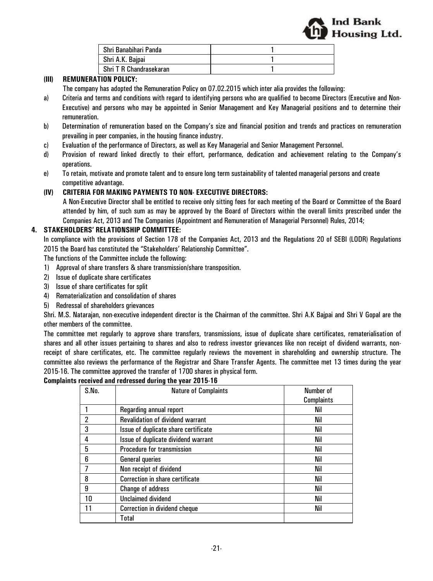| Shri Banabihari Panda   |  |
|-------------------------|--|
| Shri A.K. Bajpai        |  |
| Shri T R Chandrasekaran |  |

#### **(III) REMUNERATION POLICY:**

The company has adopted the Remuneration Policy on 07.02.2015 which inter alia provides the following:

- a) Criteria and terms and conditions with regard to identifying persons who are qualified to become Directors (Executive and Non-Executive) and persons who may be appointed in Senior Management and Key Managerial positions and to determine their remuneration.
- b) Determination of remuneration based on the Company's size and financial position and trends and practices on remuneration prevailing in peer companies, in the housing finance industry.
- c) Evaluation of the performance of Directors, as well as Key Managerial and Senior Management Personnel.
- d) Provision of reward linked directly to their effort, performance, dedication and achievement relating to the Company's operations.
- e) To retain, motivate and promote talent and to ensure long term sustainability of talented managerial persons and create competitive advantage.

#### **(IV) CRITERIA FOR MAKING PAYMENTS TO NON- EXECUTIVE DIRECTORS:**

A Non-Executive Director shall be entitled to receive only sitting fees for each meeting of the Board or Committee of the Board attended by him, of such sum as may be approved by the Board of Directors within the overall limits prescribed under the Companies Act, 2013 and The Companies (Appointment and Remuneration of Managerial Personnel) Rules, 2014;

#### **4. STAKEHOLDERS' RELATIONSHIP COMMITTEE:**

In compliance with the provisions of Section 178 of the Companies Act, 2013 and the Regulations 20 of SEBI (LODR) Regulations 2015 the Board has constituted the "Stakeholders' Relationship Committee".

The functions of the Committee include the following:

- 1) Approval of share transfers & share transmission/share transposition.
- 2) Issue of duplicate share certificates
- 3) Issue of share certificates for split
- 4) Rematerialization and consolidation of shares
- 5) Redressal of shareholders grievances

Shri. M.S. Natarajan, non-executive independent director is the Chairman of the committee. Shri A.K Bajpai and Shri V Gopal are the other members of the committee.

The committee met regularly to approve share transfers, transmissions, issue of duplicate share certificates, rematerialisation of shares and all other issues pertaining to shares and also to redress investor grievances like non receipt of dividend warrants, nonreceipt of share certificates, etc. The committee regularly reviews the movement in shareholding and ownership structure. The committee also reviews the performance of the Registrar and Share Transfer Agents. The committee met 13 times during the year 2015-16. The committee approved the transfer of 1700 shares in physical form.

| S.No. | <b>Nature of Complaints</b>            | Number of  |
|-------|----------------------------------------|------------|
|       |                                        | Complaints |
|       | Regarding annual report                | Nil        |
| 2     | Revalidation of dividend warrant       | Nil        |
| 3     | Issue of duplicate share certificate   | Nil        |
| 4     | Issue of duplicate dividend warrant    | Nil        |
| 5     | <b>Procedure for transmission</b>      | Nil        |
| 6     | <b>General queries</b>                 | Nil        |
| 7     | Non receipt of dividend                | Nil        |
| 8     | <b>Correction in share certificate</b> | Nil        |
| 9     | Change of address                      | Nil        |
| 10    | <b>Unclaimed dividend</b>              | Nil        |
| 11    | Correction in dividend cheque          | Nil        |
|       | Total                                  |            |

# **Complaints received and redressed during the year 2015-16**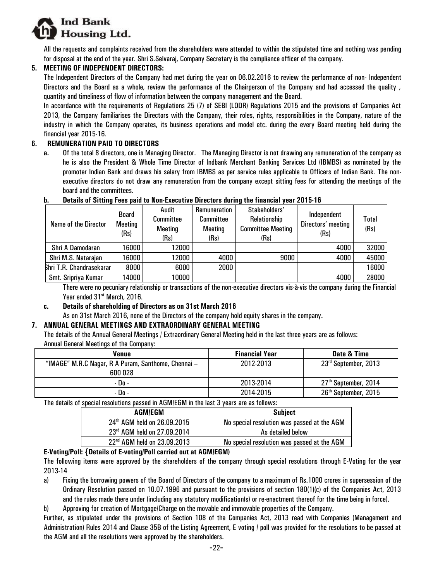

All the requests and complaints received from the shareholders were attended to within the stipulated time and nothing was pending for disposal at the end of the year. Shri S.Selvaraj, Company Secretary is the compliance officer of the company.

#### **5. MEETING OF INDEPENDENT DIRECTORS:**

The Independent Directors of the Company had met during the year on 06.02.2016 to review the performance of non- Independent Directors and the Board as a whole, review the performance of the Chairperson of the Company and had accessed the quality, quantity and timeliness of flow of information between the company management and the Board.

In accordance with the requirements of Regulations 25 (7) of SEBI (LODR) Regulations 2015 and the provisions of Companies Act 2013, the Company familiarises the Directors with the Company, their roles, rights, responsibilities in the Company, nature of the industry in which the Company operates, its business operations and model etc. during the every Board meeting held during the financial year 2015-16.

#### **6. REMUNERATION PAID TO DIRECTORS**

**a.** Of the total 8 directors, one is Managing Director. The Managing Director is not drawing any remuneration of the company as he is also the President & Whole Time Director of Indbank Merchant Banking Services Ltd (IBMBS) as nominated by the promoter Indian Bank and draws his salary from IBMBS as per service rules applicable to Officers of Indian Bank. The nonexecutive directors do not draw any remuneration from the company except sitting fees for attending the meetings of the board and the committees.

| Name of the Director     | Board<br>Meeting<br>(Rs) | Audit<br>Committee<br>Meeting<br>(Rs) | Remuneration<br>Committee<br>Meeting<br>(Rs) | Stakeholders'<br>Relationship<br><b>Committee Meeting</b><br>(Rs) | Independent<br>Directors' meeting<br>(Rs) | Total<br>(Rs) |
|--------------------------|--------------------------|---------------------------------------|----------------------------------------------|-------------------------------------------------------------------|-------------------------------------------|---------------|
| Shri A Damodaran         | 16000                    | 12000                                 |                                              |                                                                   | 4000                                      | 32000         |
| Shri M.S. Natarajan      | 16000                    | 12000                                 | 4000                                         | 9000                                                              | 4000                                      | 45000         |
| Shri T.R. Chandrasekarar | 8000                     | 6000                                  | 2000                                         |                                                                   |                                           | 16000         |
| Smt. Sripriya Kumar      | 14000                    | 10000                                 |                                              |                                                                   | 4000                                      | 28000         |

#### **b. Details of Sitting Fees paid to Non-Executive Directors during the financial year 2015-16**

There were no pecuniary relationship or transactions of the non-executive directors vis-à-vis the company during the Financial Year ended 31<sup>st</sup> March, 2016.

#### **c. Details of shareholding of Directors as on 31st March 2016**

As on 31st March 2016, none of the Directors of the company hold equity shares in the company.

#### **7. ANNUAL GENERAL MEETINGS AND EXTRAORDINARY GENERAL MEETING**

The details of the Annual General Meetings / Extraordinary General Meeting held in the last three years are as follows: Annual General Meetings of the Company:

| Venue                                               | <b>Financial Year</b> | Date & Time                      |
|-----------------------------------------------------|-----------------------|----------------------------------|
| "IMAGE" M.R.C Nagar, R A Puram, Santhome, Chennai - | 2012-2013             | 23rd September, 2013             |
| 600 028                                             |                       |                                  |
| - Do -                                              | 2013-2014             | 27 <sup>th</sup> September, 2014 |
| - Do -                                              | 2014-2015             | 26 <sup>th</sup> September, 2015 |
| $\sim$<br>$\cdots$                                  | . .                   |                                  |

The details of special resolutions passed in AGM/EGM in the last 3 years are as follows:

| AGM/EGM                                 | <b>Subject</b>                              |
|-----------------------------------------|---------------------------------------------|
| $24^{th}$ AGM held on 26.09.2015        | No special resolution was passed at the AGM |
| 23rd AGM held on 27.09.2014             | As detailed below                           |
| 22 <sup>nd</sup> AGM held on 23.09.2013 | No special resolution was passed at the AGM |
|                                         |                                             |

#### **E-Voting/Poll: {Details of E-voting/Poll carried out at AGM/EGM)**

The following items were approved by the shareholders of the company through special resolutions through E-Voting for the year 2013-14

a) Fixing the borrowing powers of the Board of Directors of the company to a maximum of Rs.1000 crores in supersession of the Ordinary Resolution passed on 10.07.1996 and pursuant to the provisions of section 180(1)(c) of the Companies Act, 2013 and the rules made there under (including any statutory modification(s) or re-enactment thereof for the time being in force).

b) Approving for creation of Mortgage/Charge on the movable and immovable properties of the Company.

Further, as stipulated under the provisions of Section 108 of the Companies Act, 2013 read with Companies (Management and Administration) Rules 2014 and Clause 35B of the Listing Agreement, E voting / poll was provided for the resolutions to be passed at the AGM and all the resolutions were approved by the shareholders.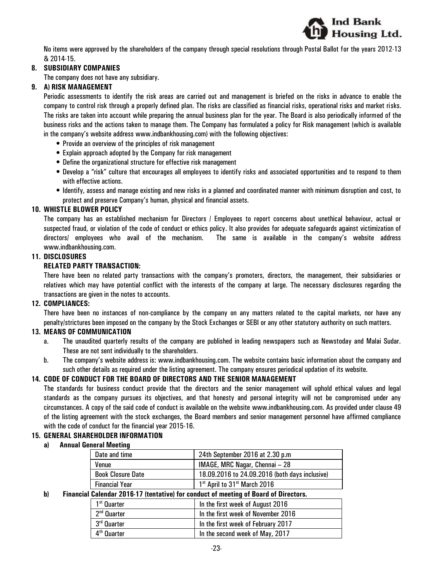No items were approved by the shareholders of the company through special resolutions through Postal Ballot for the years 2012-13 & 2014-15.

**Ind Bank Housing Ltd.** 

#### **8. SUBSIDIARY COMPANIES**

The company does not have any subsidiary.

#### **9. A) RISK MANAGEMENT**

Periodic assessments to identify the risk areas are carried out and management is briefed on the risks in advance to enable the company to control risk through a properly defined plan. The risks are classified as financial risks, operational risks and market risks. The risks are taken into account while preparing the annual business plan for the year. The Board is also periodically informed of the business risks and the actions taken to manage them. The Company has formulated a policy for Risk management (which is available in the company's website address [www.indbankhousing.com\)](http://www.indbankhousing.com/) with the following objectives:

- Provide an overview of the principles of risk management
- Explain approach adopted by the Company for risk management
- Define the organizational structure for effective risk management
- Develop a "risk" culture that encourages all employees to identify risks and associated opportunities and to respond to them with effective actions.
- Identify, assess and manage existing and new risks in a planned and coordinated manner with minimum disruption and cost, to protect and preserve Company's human, physical and financial assets.

#### **10. WHISTLE BLOWER POLICY**

The company has an established mechanism for Directors / Employees to report concerns about unethical behaviour, actual or suspected fraud, or violation of the code of conduct or ethics policy. It also provides for adequate safeguards against victimization of directors/ employees who avail of the mechanism. The same is available in the company's website address [www.indbankhousing.com.](http://www.indbankhousing.com/)

#### **11. DISCLOSURES**

#### **RELATED PARTY TRANSACTION:**

There have been no related party transactions with the company's promoters, directors, the management, their subsidiaries or relatives which may have potential conflict with the interests of the company at large. The necessary disclosures regarding the transactions are given in the notes to accounts.

#### **12. COMPLIANCES:**

There have been no instances of non-compliance by the company on any matters related to the capital markets, nor have any penalty/strictures been imposed on the company by the Stock Exchanges or SEBI or any other statutory authority on such matters.

#### **13. MEANS OF COMMUNICATION**

- a. The unaudited quarterly results of the company are published in leading newspapers such as Newstoday and Malai Sudar. These are not sent individually to the shareholders.
- b. The company's website address is: [www.i](http://www.mymail.com/)ndbankhousing.com. The website contains basic information about the company and such other details as required under the listing agreement. The company ensures periodical updation of its website.

#### **14. CODE OF CONDUCT FOR THE BOARD OF DIRECTORS AND THE SENIOR MANAGEMENT**

The standards for business conduct provide that the directors and the senior management will uphold ethical values and legal standards as the company pursues its objectives, and that honesty and personal integrity will not be compromised under any circumstances. A copy of the said code of conduct is available on the website [www.indbankhousing.com.](http://www.indbankhousing.com/) As provided under clause 49 of the listing agreement with the stock exchanges, the Board members and senior management personnel have affirmed compliance with the code of conduct for the financial year 2015-16.

#### **15. GENERAL SHAREHOLDER INFORMATION**

#### **a) Annual General Meeting**

| Date and time            | 24th September 2016 at 2.30 p.m                      |
|--------------------------|------------------------------------------------------|
| Venue                    | IMAGE, MRC Nagar, Chennai – 28                       |
| <b>Book Closure Date</b> | 18.09.2016 to 24.09.2016 (both days inclusive)       |
| <b>Financial Year</b>    | 1 <sup>st</sup> April to 31 <sup>st</sup> March 2016 |
|                          |                                                      |

#### **b) Financial Calendar 2016-17 (tentative) for conduct of meeting of Board of Directors.**

| 1 <sup>st</sup> Quarter | In the first week of August 2016   |  |
|-------------------------|------------------------------------|--|
| 2 <sup>nd</sup> Quarter | In the first week of November 2016 |  |
| 3rd Quarter             | In the first week of February 2017 |  |
| 4 <sup>th</sup> Quarter | In the second week of May, 2017    |  |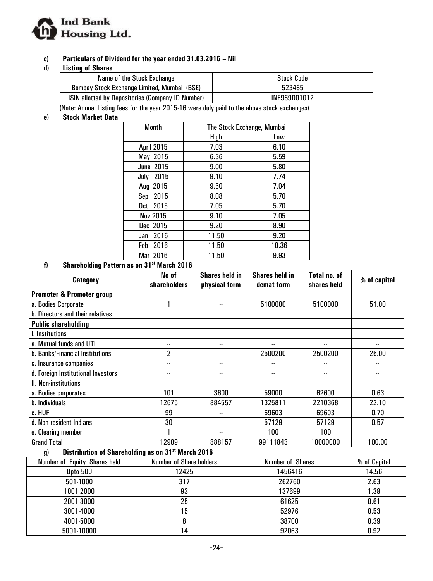

# **c) Particulars of Dividend for the year ended 31.03.2016 – Nil**

#### **d) Listing of Shares**

| Name of the Stock Exchange                               | <b>Stock Code</b> |
|----------------------------------------------------------|-------------------|
| Bombay Stock Exchange Limited, Mumbai (BSE)              | 523465            |
| <b>ISIN allotted by Depositories (Company ID Number)</b> | INE969D01012      |

(Note: Annual Listing fees for the year 2015-16 were duly paid to the above stock exchanges)

#### **e) Stock Market Data**

| Month             | The Stock Exchange, Mumbai |       |  |
|-------------------|----------------------------|-------|--|
|                   | High                       | Low   |  |
| <b>April 2015</b> | 7.03                       | 6.10  |  |
| May 2015          | 6.36                       | 5.59  |  |
| June 2015         | 9.00                       | 5.80  |  |
| 2015<br>July      | 9.10                       | 7.74  |  |
| Aug 2015          | 9.50                       | 7.04  |  |
| 2015<br>Sep       | 8.08                       | 5.70  |  |
| Oct 2015          | 7.05                       | 5.70  |  |
| <b>Nov 2015</b>   | 9.10                       | 7.05  |  |
| Dec 2015          | 9.20                       | 8.90  |  |
| 2016<br>Jan       | 11.50                      | 9.20  |  |
| Feb<br>2016       | 11.50                      | 10.36 |  |
| Mar 2016          | 11.50                      | 9.93  |  |

# **f) Shareholding Pattern as on 31st March 2016**

| Category                                                             | No of<br>shareholders | <b>Shares held in</b><br>physical form | <b>Shares held in</b><br>demat form | Total no. of<br>shares held | % of capital |
|----------------------------------------------------------------------|-----------------------|----------------------------------------|-------------------------------------|-----------------------------|--------------|
| <b>Promoter &amp; Promoter group</b>                                 |                       |                                        |                                     |                             |              |
| a. Bodies Corporate                                                  |                       | ٠.                                     | 5100000                             | 5100000                     | 51.00        |
| b. Directors and their relatives                                     |                       |                                        |                                     |                             |              |
| <b>Public shareholding</b>                                           |                       |                                        |                                     |                             |              |
| I. Institutions                                                      |                       |                                        |                                     |                             |              |
| a. Mutual funds and UTI                                              | --                    | ٠.                                     | ٠.                                  | ۰.                          | ٠.           |
| b. Banks/Financial Institutions                                      | $\overline{2}$        | ٠.                                     | 2500200                             | 2500200                     | 25.00        |
| c. Insurance companies                                               | --                    | ٠.                                     |                                     |                             |              |
| d. Foreign Institutional Investors                                   | --                    | ٠.                                     |                                     | ۰.                          | ٠.           |
| II. Non-institutions                                                 |                       |                                        |                                     |                             |              |
| a. Bodies corporates                                                 | 101                   | 3600                                   | 59000                               | 62600                       | 0.63         |
| b. Individuals                                                       | 12675                 | 884557                                 | 1325811                             | 2210368                     | 22.10        |
| c. HUF                                                               | 99                    | ٠.                                     | 69603                               | 69603                       | 0.70         |
| d. Non-resident Indians                                              | 30                    | ٠.                                     | 57129                               | 57129                       | 0.57         |
| e. Clearing member                                                   |                       | ٠.                                     | 100                                 | 100                         |              |
| <b>Grand Total</b>                                                   | 12909                 | 888157                                 | 99111843                            | 10000000                    | 100.00       |
| Distribution of Shareholding as on 31 <sup>st</sup> March 2016<br>g) |                       |                                        |                                     |                             |              |

| Number of Equity Shares held | Number of Share holders | Number of Shares | % of Capital |
|------------------------------|-------------------------|------------------|--------------|
| <b>Upto 500</b>              | 12425                   | 1456416          | 14.56        |
| 501-1000                     | 317                     | 262760           | 2.63         |
| 1001-2000                    | 93                      | 137699           | 1.38         |
| 2001-3000                    | 25                      | 61625            | 0.61         |
| 3001-4000                    | 15                      | 52976            | 0.53         |
| 4001-5000                    |                         | 38700            | 0.39         |
| 5001-10000                   | 14                      | 92063            | 0.92         |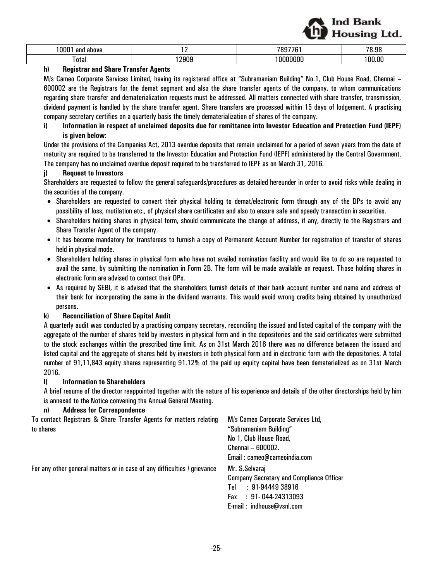| 000<br>and<br>above | . .  | 7007701  | 78.98 |
|---------------------|------|----------|-------|
| otal                | 2909 | 10000000 | 00.00 |

#### **h) Registrar and Share Transfer Agents**

M/s Cameo Corporate Services Limited, having its registered office at "Subramaniam Building" No.1, Club House Road, Chennai – 600002 are the Registrars for the demat segment and also the share transfer agents of the company, to whom communications regarding share transfer and dematerialization requests must be addressed. All matters connected with share transfer, transmission, dividend payment is handled by the share transfer agent. Share transfers are processed within 15 days of lodgement. A practising company secretary certifies on a quarterly basis the timely dematerialization of shares of the company.

#### **i) Information in respect of unclaimed deposits due for remittance into Investor Education and Protection Fund (IEPF) is given below:**

Under the provisions of the Companies Act, 2013 overdue deposits that remain unclaimed for a period of seven years from the date of maturity are required to be transferred to the Investor Education and Protection Fund (IEPF) administered by the Central Government. The company has no unclaimed overdue deposit required to be transferred to IEPF as on March 31, 2016.

#### **j) Request to Investors**

Shareholders are requested to follow the general safeguards/procedures as detailed hereunder in order to avoid risks while dealing in the securities of the company.

- Shareholders are requested to convert their physical holding to demat/electronic form through any of the DPs to avoid any possibility of loss, mutilation etc., of physical share certificates and also to ensure safe and speedy transaction in securities.
- Shareholders holding shares in physical form, should communicate the change of address, if any, directly to the Registrars and Share Transfer Agent of the company.
- It has become mandatory for transferees to furnish a copy of Permanent Account Number for registration of transfer of shares held in physical mode.
- Shareholders holding shares in physical form who have not availed nomination facility and would like to do so are requested to avail the same, by submitting the nomination in Form 2B. The form will be made available on request. Those holding shares in electronic form are advised to contact their DPs.
- As required by SEBI, it is advised that the shareholders furnish details of their bank account number and name and address of their bank for incorporating the same in the dividend warrants. This would avoid wrong credits being obtained by unauthorized persons.

#### **k) Reconciliation of Share Capital Audit**

A quarterly audit was conducted by a practising company secretary, reconciling the issued and listed capital of the company with the aggregate of the number of shares held by investors in physical form and in the depositories and the said certificates were submitted to the stock exchanges within the prescribed time limit. As on 31st March 2016 there was no difference between the issued and listed capital and the aggregate of shares held by investors in both physical form and in electronic form with the depositories. A total number of 91,11,843 equity shares representing 91.12% of the paid up equity capital have been dematerialized as on 31st March 2016.

#### **l) Information to Shareholders**

A brief resume of the director reappointed together with the nature of his experience and details of the other directorships held by him is annexed to the Notice convening the Annual General Meeting.

#### **n) Address for Correspondence**

To contact Registrars & Share Transfer Agents for matters relating to shares

M/s Cameo Corporate Services Ltd, "Subramaniam Building" No 1, Club House Road, Chennai – 600002. Email [: cameo@cameoindia.com](mailto:cameo@cameoindia.com)

For any other general matters or in case of any difficulties / grievance Mr. S. Selvaraj

Company Secretary and Compliance Officer Tel : 91-94449 38916 Fax : 91- 044-24313093 E-mail : [indhouse@vsnl.com](mailto:indhouse@vsnl.com)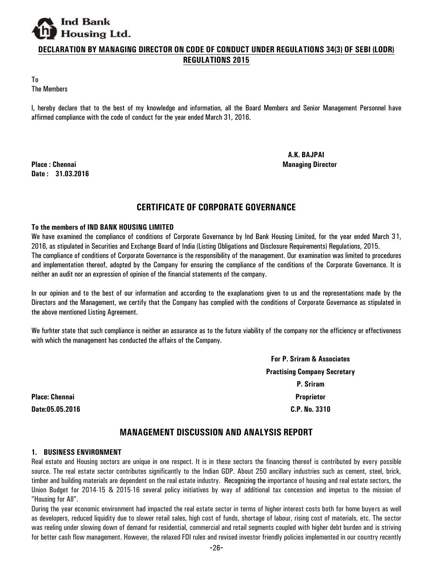# **Ind Bank Housing Ltd.**

# **DECLARATION BY MANAGING DIRECTOR ON CODE OF CONDUCT UNDER REGULATIONS 34(3) OF SEBI (LODR) REGULATIONS 2015**

To The Members

I, hereby declare that to the best of my knowledge and information, all the Board Members and Senior Management Personnel have affirmed compliance with the code of conduct for the year ended March 31, 2016.

**Place : Chennai Managing Director** Managing Director **Date : 31.03.2016** 

 **A.K. BAJPAI**

# **CERTIFICATE OF CORPORATE GOVERNANCE**

#### **To the members of IND BANK HOUSING LIMITED**

We have examined the compliance of conditions of Corporate Governance by Ind Bank Housing Limited, for the year ended March 31, 2016, as stipulated in Securities and Exchange Board of India (Listing Obligations and Disclosure Requirements) Regulations, 2015. The compliance of conditions of Corporate Governance is the responsibility of the management. Our examination was limited to procedures and implementation thereof, adopted by the Company for ensuring the compliance of the conditions of the Corporate Governance. It is neither an audit nor an expression of opinion of the financial statements of the company.

In our opinion and to the best of our information and according to the exaplanations given to us and the representations made by the Directors and the Management, we certify that the Company has complied with the conditions of Corporate Governance as stipulated in the above mentioned Listing Agreement.

We furhter state that such compliance is neither an assurance as to the future viability of the company nor the efficiency or effectiveness with which the management has conducted the affairs of the Company.

**For P. Sriram & Associates Practising Company Secretary P. Sriram Place: Chennai Proprietor Date:05.05.2016 C.P. No. 3310**

# **MANAGEMENT DISCUSSION AND ANALYSIS REPORT**

#### **1. BUSINESS ENVIRONMENT**

Real estate and Housing sectors are unique in one respect. It is in these sectors the financing thereof is contributed by every possible source. The real estate sector contributes significantly to the Indian GDP. About 250 ancillary industries such as cement, steel, brick, timber and building materials are dependent on the real estate industry. Recognizing the importance of housing and real estate sectors, the Union Budget for 2014-15 & 2015-16 several policy initiatives by way of additional tax concession and impetus to the mission of "Housing for All".

During the year economic environment had impacted the real estate sector in terms of higher interest costs both for home buyers as well as developers, reduced liquidity due to slower retail sales, high cost of funds, shortage of labour, rising cost of materials, etc. The sector was reeling under slowing down of demand for residential, commercial and retail segments coupled with higher debt burden and is striving for better cash flow management. However, the relaxed FDI rules and revised investor friendly policies implemented in our country recently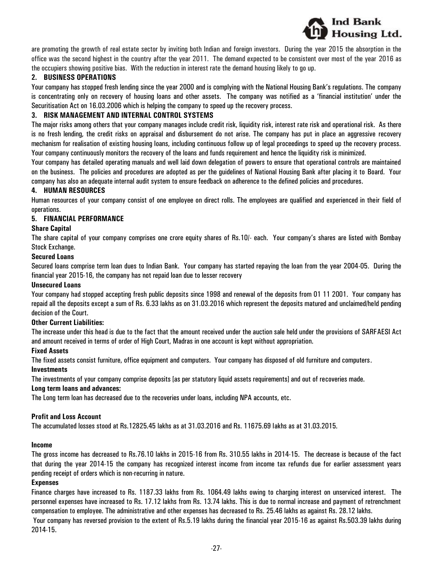# **Ind Bank** Housing Ltd.

are promoting the growth of real estate sector by inviting both Indian and foreign investors. During the year 2015 the absorption in the office was the second highest in the country after the year 2011. The demand expected to be consistent over most of the year 2016 as the occupiers showing positive bias. With the reduction in interest rate the demand housing likely to go up.

#### **2. BUSINESS OPERATIONS**

Your company has stopped fresh lending since the year 2000 and is complying with the National Housing Bank's regulations. The company is concentrating only on recovery of housing loans and other assets. The company was notified as a 'financial institution' under the Securitisation Act on 16.03.2006 which is helping the company to speed up the recovery process.

#### **3. RISK MANAGEMENT AND INTERNAL CONTROL SYSTEMS**

The major risks among others that your company manages include credit risk, liquidity risk, interest rate risk and operational risk. As there is no fresh lending, the credit risks on appraisal and disbursement do not arise. The company has put in place an aggressive recovery mechanism for realisation of existing housing loans, including continuous follow up of legal proceedings to speed up the recovery process. Your company continuously monitors the recovery of the loans and funds requirement and hence the liquidity risk is minimized.

Your company has detailed operating manuals and well laid down delegation of powers to ensure that operational controls are maintained on the business. The policies and procedures are adopted as per the guidelines of National Housing Bank after placing it to Board. Your company has also an adequate internal audit system to ensure feedback on adherence to the defined policies and procedures.

#### **4. HUMAN RESOURCES**

Human resources of your company consist of one employee on direct rolls. The employees are qualified and experienced in their field of operations.

#### **5. FINANCIAL PERFORMANCE**

#### **Share Capital**

The share capital of your company comprises one crore equity shares of Rs.10/- each. Your company's shares are listed with Bombay Stock Exchange.

#### **Secured Loans**

Secured loans comprise term loan dues to Indian Bank. Your company has started repaying the loan from the year 2004-05. During the financial year 2015-16, the company has not repaid loan due to lesser recovery

#### **Unsecured Loans**

Your company had stopped accepting fresh public deposits since 1998 and renewal of the deposits from 01 11 2001. Your company has repaid all the deposits except a sum of Rs. 6.33 lakhs as on 31.03.2016 which represent the deposits matured and unclaimed/held pending decision of the Court.

#### **Other Current Liabilities:**

The increase under this head is due to the fact that the amount received under the auction sale held under the provisions of SARFAESI Act and amount received in terms of order of High Court, Madras in one account is kept without appropriation.

#### **Fixed Assets**

The fixed assets consist furniture, office equipment and computers. Your company has disposed of old furniture and computers.

#### **Investments**

The investments of your company comprise deposits [as per statutory liquid assets requirements] and out of recoveries made.

#### **Long term loans and advances:**

The Long term loan has decreased due to the recoveries under loans, including NPA accounts, etc.

#### **Profit and Loss Account**

The accumulated losses stood at Rs.12825.45 lakhs as at 31.03.2016 and Rs. 11675.69 lakhs as at 31.03.2015.

#### **Income**

The gross income has decreased to Rs.76.10 lakhs in 2015-16 from Rs. 310.55 lakhs in 2014-15. The decrease is because of the fact that during the year 2014-15 the company has recognized interest income from income tax refunds due for earlier assessment years pending receipt of orders which is non-recurring in nature.

#### **Expenses**

Finance charges have increased to Rs. 1187.33 lakhs from Rs. 1064.49 lakhs owing to charging interest on unserviced interest. The personnel expenses have increased to Rs. 17.12 lakhs from Rs. 13.74 lakhs. This is due to normal increase and payment of retrenchment compensation to employee. The administrative and other expenses has decreased to Rs. 25.46 lakhs as against Rs. 28.12 lakhs.

Your company has reversed provision to the extent of Rs.5.19 lakhs during the financial year 2015-16 as against Rs.503.39 lakhs during 2014-15.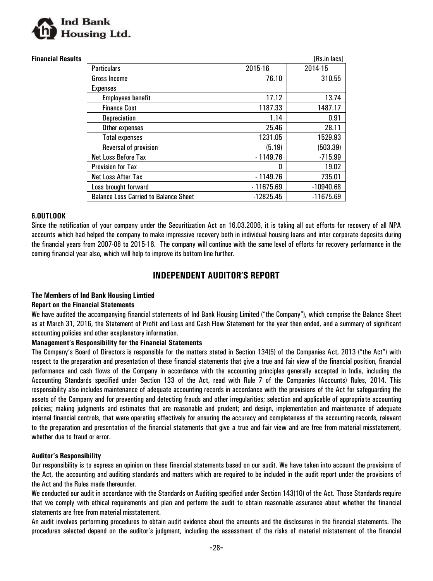

| <b>Financial Results</b> |                                              |             | [Rs.in lacs] |
|--------------------------|----------------------------------------------|-------------|--------------|
|                          | <b>Particulars</b>                           | 2015-16     | 2014-15      |
|                          | Gross Income                                 | 76.10       | 310.55       |
|                          | <b>Expenses</b>                              |             |              |
|                          | <b>Employees benefit</b>                     | 17.12       | 13.74        |
|                          | <b>Finance Cost</b>                          | 1187.33     | 1487.17      |
|                          | <b>Depreciation</b>                          | 1.14        | 0.91         |
|                          | Other expenses                               | 25.46       | 28.11        |
|                          | <b>Total expenses</b>                        | 1231.05     | 1529.93      |
|                          | Reversal of provision                        | (5.19)      | (503.39)     |
|                          | Net Loss Before Tax                          | $-1149.76$  | $-715.99$    |
|                          | <b>Provision for Tax</b>                     | 0           | 19.02        |
|                          | Net Loss After Tax                           | $-1149.76$  | 735.01       |
|                          | Loss brought forward                         | $-11675.69$ | $-10940.68$  |
|                          | <b>Balance Loss Carried to Balance Sheet</b> | $-12825.45$ | $-11675.69$  |

#### **6.OUTLOOK**

Since the notification of your company under the Securitization Act on 16.03.2006, it is taking all out efforts for recovery of all NPA accounts which had helped the company to make impressive recovery both in individual housing loans and inter corporate deposits during the financial years from 2007-08 to 2015-16. The company will continue with the same level of efforts for recovery performance in the coming financial year also, which will help to improve its bottom line further.

#### **INDEPENDENT AUDITOR'S REPORT**

#### **The Members of Ind Bank Housing Limtied**

#### **Report on the Financial Statements**

We have audited the accompanying financial statements of Ind Bank Housing Limited ("the Company"), which comprise the Balance Sheet as at March 31, 2016, the Statement of Profit and Loss and Cash Flow Statement for the year then ended, and a summary of significant accounting policies and other exaplanatory information.

#### **Management's Responsibility for the Financial Statements**

The Company's Board of Directors is responsible for the matters stated in Section 134(5) of the Companies Act, 2013 ("the Act") with respect to the preparation and presentation of these financial statements that give a true and fair view of the financial position, financial performance and cash flows of the Company in accordance with the accounting principles generally accepted in India, including the Accounting Standards specified under Section 133 of the Act, read with Rule 7 of the Companies (Accounts) Rules, 2014. This responsibility also includes maintenance of adequate accounting records in accordance with the provisions of the Act for safeguarding the assets of the Company and for preventing and detecting frauds and other irregularities; selection and applicable of appropriate accounting policies; making judgments and estimates that are reasonable and prudent; and design, implementation and maintenance of adequate internal financial controls, that were operating effectively for ensuring the accuracy and completeness of the accounting records, relevant to the preparation and presentation of the financial statements that give a true and fair view and are free from material misstatement, whether due to fraud or error.

#### **Auditor's Responsibility**

Our responsibility is to express an opinion on these financial statements based on our audit. We have taken into account the provisions of the Act, the accounting and auditing standards and matters which are required to be included in the audit report under the provisions of the Act and the Rules made thereunder.

We conducted our audit in accordance with the Standards on Auditing specified under Section 143(10) of the Act. Those Standards require that we comply with ethical requirements and plan and perform the audit to obtain reasonable assurance about whether the financial statements are free from material misstatement.

An audit involves performing procedures to obtain audit evidence about the amounts and the disclosures in the financial statements. The procedures selected depend on the auditor's judgment, including the assessment of the risks of material mistatement of the financial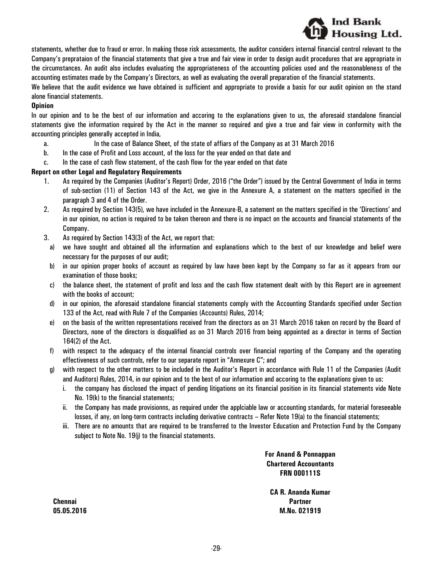# **Ind Bank Housing Ltd.**

statements, whether due to fraud or error. In making those risk assessments, the auditor considers internal financial control relevant to the Company's preprataion of the financial statements that give a true and fair view in order to design audit procedures that are appropriate in the circumstances. An audit also includes evaluating the appropriateness of the accounting policies used and the reasonableness of the accounting estimates made by the Company's Directors, as well as evaluating the overall preparation of the financial statements.

We believe that the audit evidence we have obtained is sufficient and appropriate to provide a basis for our audit opinion on the stand alone financial statements.

#### **Opinion**

In our opinion and to be the best of our information and accoring to the explanations given to us, the aforesaid standalone financial statements give the information required by the Act in the manner so required and give a true and fair view in conformity with the accounting principles generally accepted in India,

- a. In the case of Balance Sheet, of the state of affiars of the Company as at 31 March 2016
- b. In the case of Profit and Loss account, of the loss for the year ended on that date and
- c. In the case of cash flow statement, of the cash flow for the year ended on that date

#### **Report on other Legal and Regulatory Requirements**

- 1. As required by the Companies (Auditor's Report) Order, 2016 ("the Order") issued by the Central Government of India in terms of sub-section (11) of Section 143 of the Act, we give in the Annexure A, a statement on the matters specified in the paragraph 3 and 4 of the Order.
- 2. As required by Section 143(5), we have included in the Annexure-B, a satement on the matters specified in the 'Directions' and in our opinion, no action is required to be taken thereon and there is no impact on the accounts and financial statements of the Company.
- 3. As required by Section 143(3) of the Act, we report that:
	- a) we have sought and obtained all the information and explanations which to the best of our knowledge and belief were necessary for the purposes of our audit;
	- b) in our opinion proper books of account as required by law have been kept by the Company so far as it appears from our examination of those books;
	- c) the balance sheet, the statement of profit and loss and the cash flow statement dealt with by this Report are in agreement with the books of account;
	- d) in our opinion, the aforesaid standalone financial statements comply with the Accounting Standards specified under Section 133 of the Act, read with Rule 7 of the Companies (Accounts) Rules, 2014;
	- e) on the basis of the written representations received from the directors as on 31 March 2016 taken on record by the Board of Directors, none of the directors is disqualified as on 31 March 2016 from being appointed as a director in terms of Section 164(2) of the Act.
	- f) with respect to the adequacy of the internal financial controls over financial reporting of the Company and the operating effectiveness of such controls, refer to our separate report in "Annexure C"; and
	- g) with respect to the other matters to be included in the Auditor's Report in accordance with Rule 11 of the Companies (Audit and Auditors) Rules, 2014, in our opinion and to the best of our information and accoring to the explanations given to us:
		- i. the company has disclosed the impact of pending litigations on its financial position in its financial statements vide Note No. 19(k) to the financial statements;
		- ii. the Company has made provisionns, as required under the applciable law or accounting standards, for material foreseeable losses, if any, on long-term contracts including derivative contracts – Refer Note 19(a) to the financial statements;
		- iii. There are no amounts that are required to be transferred to the Investor Education and Protection Fund by the Company subject to Note No. 19(j) to the financial statements.

**For Anand & Ponnappan Chartered Accountants FRN 000111S**

**CA R. Ananda Kumar Chennai Partner 05.05.2016 M.No. 021919**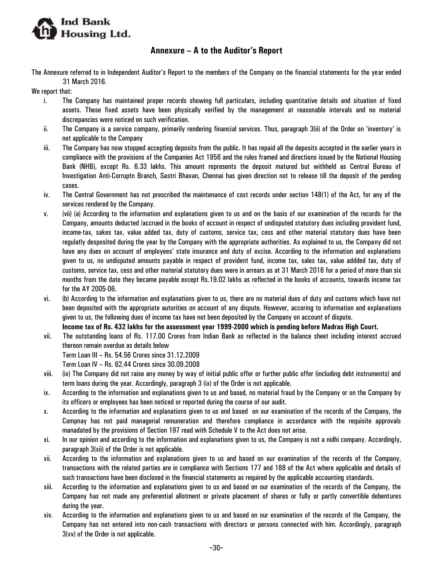

# **Annexure – A to the Auditor's Report**

The Annexure referred to in Independent Auditor's Report to the members of the Company on the financial statements for the year ended 31 March 2016.

We report that:

- i. The Company has maintained proper records showing full particulars, including quantitative details and situation of fixed assets. These fixed assets have been physically verified by the management at reasonable intervals and no material discrepancies were noticed on such verification.
- ii. The Company is a service company, primarily rendering financial services. Thus, paragraph 3(ii) of the Order on 'inventory' is not applicable to the Company
- iii. The Company has now stopped accepting deposits from the public. It has repaid all the deposits accepted in the earlier years in compliance with the provisions of the Companies Act 1956 and the rules framed and directions issued by the National Housing Bank (NHB), except Rs. 6.33 lakhs. This amount represents the deposit matured but withheld as Central Bureau of Investigation Anti-Corruptn Branch, Sastri Bhavan, Chennai has given direction not to release till the deposit of the pending cases.
- iv. The Central Government has not prescribed the maintenance of cost records under section 148(1) of the Act, for any of the services rendered by the Company.
- v. (vii) (a) According to the information and explanations given to us and on the basis of our examination of the records for the Company, amounts deducted /accrued in the books of account in respect of undisputed statutory dues including provident fund, income-tax, sakes tax, value added tax, duty of customs, service tax, cess and other material statutory dues have been regulatly desposited during the year by the Company with the appropriate authorities. As explained to us, the Company did not have any dues on account of employees' state insurance and duty of excise. According to the information and explanations given to us, no undisputed amounts payable in respect of provident fund, income tax, sales tax, value addded tax, duty of customs, service tax, cess and other material statutory dues were in arrears as at 31 March 2016 for a period of more than six months from the date they became payable except Rs.19.02 lakhs as reflected in the books of accounts, towards income tax for the AY 2005-06.
- vi. (b) According to the information and explanations given to us, there are no material dues of duty and customs which have not been deposited with the appropriate autorities on account of any dispute. However, accoring to information and explanations given to us, the following dues of income tax have not been deposited by the Company on account of dispute.

#### **Income tax of Rs. 432 lakhs for the assessment year 1999-2000 which is pending before Madras High Court.**

vii. The outstanding loans of Rs. 117.00 Crores from Indian Bank as reflected in the balance sheet including interest accrued thereon remain overdue as details below

Term Loan III – Rs. 54.56 Crores since 31.12.2009

Term Loan IV – Rs. 62.44 Crores since 30.09.2008

- viii. (ix) The Company did not raise any money by way of initial public offer or further public offer (including debt instruments) and term loans during the year. Accordingly, paragraph 3 (ix) of the Order is not applicable.
- ix. According to the information and explanations given to us and based, no material fraud by the Company or on the Company by its officers or employees has been noticed or reported during the course of our audit.
- x. According to the information and explanations given to us and based on our examination of the records of the Company, the Compnay has not paid managerial remuneration and therefore compliance in accordance with the requisite approvals manadated by the provisions of Section 197 read with Schedule V to the Act does not arise.
- xi. In our opinion and according to the information and explanations given to us, the Company is not a nidhi company. Accordingly, paragraph 3(xii) of the Order is not applicable.
- xii. According to the information and explanations given to us and based on our examination of the records of the Company, transactions with the related parties are in compliance with Sections 177 and 188 of the Act where applicable and details of such transactions have been disclosed in the financial statements as required by the applicable accounting standards.
- xiii. According to the information and explanations given to us and based on our examination of the records of the Company, the Company has not made any preferential allotment or private placement of shares or fully or partly convertible debentures during the year.
- xiv. According to the information and explanations given to us and based on our examination of the records of the Company, the Company has not entered into non-cash transactions with directors or persons connected with him. Accordingly, paragraph 3(xv) of the Order is not applicable.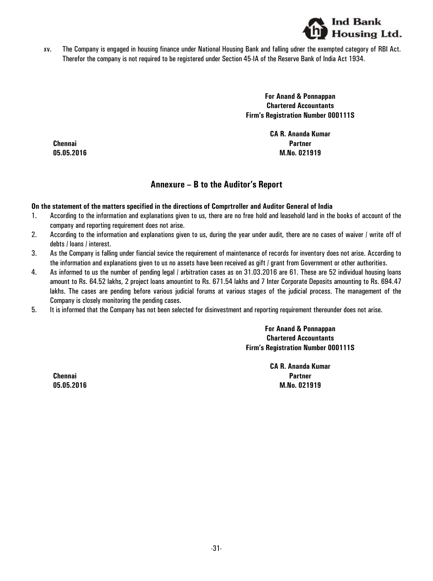

xv. The Company is engaged in housing finance under National Housing Bank and falling udner the exempted category of RBI Act. Therefor the company is not required to be registered under Section 45-IA of the Reserve Bank of India Act 1934.

> **For Anand & Ponnappan Chartered Accountants Firm's Registration Number 000111S**

**CA R. Ananda Kumar Chennai Partner 05.05.2016 M.No. 021919**

# **Annexure – B to the Auditor's Report**

#### **On the statement of the matters specified in the directions of Comprtroller and Auditor General of India**

- 1. According to the information and explanations given to us, there are no free hold and leasehold land in the books of account of the company and reporting requirement does not arise.
- 2. According to the information and explanations given to us, during the year under audit, there are no cases of waiver / write off of debts / loans / interest.
- 3. As the Company is falling under fiancial sevice the requirement of maintenance of records for inventory does not arise. According to the information and explanations given to us no assets have been received as gift / grant from Government or other authorities.
- 4. As informed to us the number of pending legal / arbitration cases as on 31.03.2016 are 61. These are 52 individual housing loans amount to Rs. 64.52 lakhs, 2 project loans amountint to Rs. 671.54 lakhs and 7 Inter Corporate Deposits amounting to Rs. 694.47 lakhs. The cases are pending before various judicial forums at various stages of the judicial process. The management of the Company is closely monitoring the pending cases.
- 5. It is informed that the Company has not been selected for disinvestment and reporting requirement thereunder does not arise.

**For Anand & Ponnappan Chartered Accountants Firm's Registration Number 000111S**

**CA R. Ananda Kumar Chennai Partner 05.05.2016 M.No. 021919**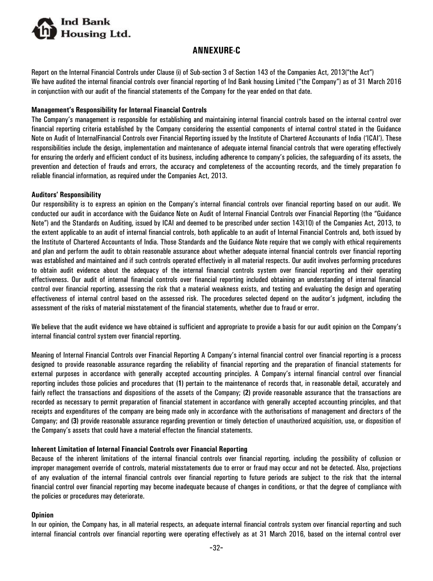

#### **ANNEXURE-C**

Report on the Internal Financial Controls under Clause (i) of Sub-section 3 of Section 143 of the Companies Act, 2013("the Act") We have audited the internal financial controls over financial reporting of Ind Bank housing Limited ("the Company") as of 31 March 2016 in conjunctiion with our audit of the financial statements of the Company for the year ended on that date.

#### **Management's Responsibility for Internal Financial Controls**

The Company's management is responsible for establishing and maintaining internal financial controls based on the internal control over financial reporting criteria established by the Company considering the essential components of internal control stated in the Guidance Note on Audit of InternalFinancial Controls over Financial Reporting issued by the Institute of Chartered Accounants of India ('ICAI'). These responsibilities include the design, implementation and maintenance of adequate internal financial controls that were operating effectively for ensuring the orderly and efficient conduct of its business, including adherence to company's policies, the safeguarding of its assets, the prevention and detection of frauds and errors, the accuracy and completeness of the accounting records, and the timely preparation fo reliable financial information, as required under the Companies Act, 2013.

#### **Auditors' Responsibility**

Our responsibility is to express an opinion on the Company's internal financial controls over financial reporting based on our audit. We conducted our audit in accordance with the Guidance Note on Audit of Internal Financial Controls over Financial Reporting (the "Guidance Note") and the Standards on Auditing, issued by ICAI and deemed to be prescribed under section 143(10) of the Companies Act, 2013, to the extent applicable to an audit of internal financial controls, both applicable to an audit of Internal Financial Controls and, both issued by the Institute of Chartered Accountants of India. Those Standards and the Guidance Note require that we comply with ethical requirements and plan and perform the audit to obtain reasonable assurance about whether adequate internal financial controls over financial reporting was established and maintained and if such controls operated effectively in all material respects. Our audit involves performing procedures to obtain audit evidence about the adequacy of the internal financial controls system over financial reporting and their operating effectiveness. Our audit of internal financial controls over financial reporting included obtaining an understanding of internal financial control over financial reporting, assessing the risk that a material weakness exists, and testing and evaluating the design and operating effectiveness of internal control based on the assessed risk. The procedures selected depend on the auditor's judgment, including the assessment of the risks of material misstatement of the financial statements, whether due to fraud or error.

We believe that the audit evidence we have obtained is sufficient and appropriate to provide a basis for our audit opinion on the Company's internal financial control system over financial reporting.

Meaning of Internal Financial Controls over Financial Reporting A Company's internal financial control over financial reporting is a process designed to provide reasonable assurance regarding the reliability of financial reporting and the preparation of financial statements for external purposes in accordance with generally accepted accounting principles. A Company's internal financial control over financial reporting includes those policies and procedures that **(1)** pertain to the maintenance of records that, in reasonable detail, accurately and fairly reflect the transactions and dispositions of the assets of the Company; **(2)** provide reasonable assurance that the transactions are recorded as necessary to permit preparation of financial statement in accordance with generally accepted accounting principles, and that receipts and expenditures of the company are being made only in accordance with the authorisations of management and directors of the Company; and **(3)** provide reasonable assurance regarding prevention or timely detection of unauthorized acquisition, use, or disposition of the Company's assets that could have a material effecton the financial statements.

#### **Inherent Limitation of Internal Financial Controls over Financial Reporting**

Because of the inherent limitations of the internal financial controls over financial reporting, including the possibility of collusion or improper management override of controls, material misstatements due to error or fraud may occur and not be detected. Also, projections of any evaluation of the internal financial controls over financial reporting to future periods are subject to the risk that the internal financial control over financial reporting may become inadequate because of changes in conditions, or that the degree of compliance with the policies or procedures may deteriorate.

#### **Opinion**

In our opinion, the Company has, in all material respects, an adequate internal financial controls system over financial reporting and such internal financial controls over financial reporting were operating effectively as at 31 March 2016, based on the internal control over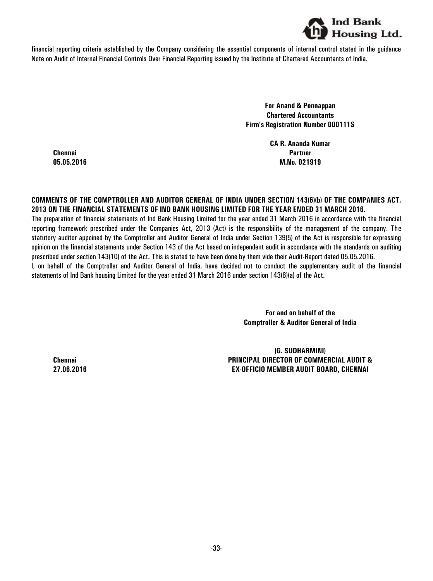

financial reporting criteria established by the Company considering the essential components of internal control stated in the guidance Note on Audit of Internal Financial Controls Over Financial Reporting issued by the Institute of Chartered Accountants of India.

> **For Anand & Ponnappan Chartered Accountants Firm's Registration Number 000111S**

**CA R. Ananda Kumar Chennai Partner 05.05.2016 M.No. 021919**

**COMMENTS OF THE COMPTROLLER AND AUDITOR GENERAL OF INDIA UNDER SECTION 143(6)(b) OF THE COMPANIES ACT, 2013 ON THE FINANCIAL STATEMENTS OF IND BANK HOUSING LIMITED FOR THE YEAR ENDED 31 MARCH 2016.**

The preparation of financial statements of Ind Bank Housing Limited for the year ended 31 March 2016 in accordance with the financial reporting framework prescribed under the Companies Act, 2013 (Act) is the responsibility of the management of the company. The statutory auditor appoined by the Comptroller and Auditor General of India under Section 139(5) of the Act is responsible for expressing opinion on the financial statements under Section 143 of the Act based on independent audit in accordance with the standards on auditing prescribed under section 143(10) of the Act. This is stated to have been done by them vide their Audit-Report dated 05.05.2016. I, on behalf of the Comptroller and Auditor General of India, have decided not to conduct the supplementary audit of the financial

statements of Ind Bank housing Limited for the year ended 31 March 2016 under section 143(6)(a) of the Act.

**For and on behalf of the Comptroller & Auditor General of India**

**(G. SUDHARMINI) Chennai PRINCIPAL DIRECTOR OF COMMERCIAL AUDIT & 27.06.2016 EX-OFFICIO MEMBER AUDIT BOARD, CHENNAI**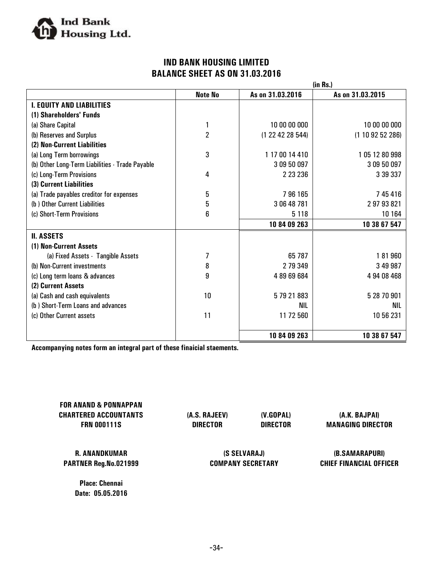

# **IND BANK HOUSING LIMITED BALANCE SHEET AS ON 31.03.2016**

|                                                 |                |                  | (in Rs.)         |
|-------------------------------------------------|----------------|------------------|------------------|
|                                                 | <b>Note No</b> | As on 31.03.2016 | As on 31.03.2015 |
| <b>I. EQUITY AND LIABILITIES</b>                |                |                  |                  |
| (1) Shareholders' Funds                         |                |                  |                  |
| (a) Share Capital                               | 1              | 10 00 00 000     | 10 00 00 000     |
| (b) Reserves and Surplus                        | 2              | (1 22 42 28 544) | (1109252286)     |
| (2) Non-Current Liabilities                     |                |                  |                  |
| (a) Long Term borrowings                        | 3              | 1 17 00 14 410   | 105 12 80 998    |
| (b) Other Long-Term Liabilities - Trade Payable |                | 3 09 50 097      | 3 09 50 097      |
| (c) Long-Term Provisions                        | 4              | 2 23 236         | 3 39 337         |
| (3) Current Liabilities                         |                |                  |                  |
| (a) Trade payables creditor for expenses        | 5              | 796165           | 745416           |
| (b) Other Current Liabilities                   | 5              | 3 06 48 781      | 29793821         |
| (c) Short-Term Provisions                       | 6              | 5 1 1 8          | 10 164           |
|                                                 |                | 10 84 09 263     | 10 38 67 547     |
| <b>II. ASSETS</b>                               |                |                  |                  |
| (1) Non-Current Assets                          |                |                  |                  |
| (a) Fixed Assets - Tangible Assets              | 7              | 65 787           | 181960           |
| (b) Non-Current investments                     | 8              | 2 79 349         | 349987           |
| (c) Long term loans & advances                  | 9              | 48969684         | 4 94 08 468      |
| (2) Current Assets                              |                |                  |                  |
| (a) Cash and cash equivalents                   | 10             | 57921883         | 5 28 70 901      |
| (b) Short-Term Loans and advances               |                | <b>NIL</b>       | NIL              |
| (c) Other Current assets                        | 11             | 11 72 560        | 10 56 231        |
|                                                 |                |                  |                  |
|                                                 |                | 10 84 09 263     | 10 38 67 547     |

**Accompanying notes form an integral part of these finaicial staements.**

| <b>FOR ANAND &amp; PONNAPPAN</b><br><b>CHARTERED ACCOUNTANTS</b><br><b>FRN 000111S</b> | (A.S. RAJEEV)<br><b>DIRECTOR</b> | (V.GOPAL)<br><b>DIRECTOR</b> | (A.K. BAJPAI)<br><b>MANAGING DIRECTOR</b> |
|----------------------------------------------------------------------------------------|----------------------------------|------------------------------|-------------------------------------------|
| <b>R. ANANDKUMAR</b>                                                                   |                                  | (S SELVARAJ)                 | (B.SAMARAPURI)                            |
| <b>PARTNER Reg.No.021999</b>                                                           |                                  | <b>COMPANY SECRETARY</b>     | <b>CHIEF FINANCIAL OFFICER</b>            |
| <b>Place: Chennai</b>                                                                  |                                  |                              |                                           |
| Date: 05.05.2016                                                                       |                                  |                              |                                           |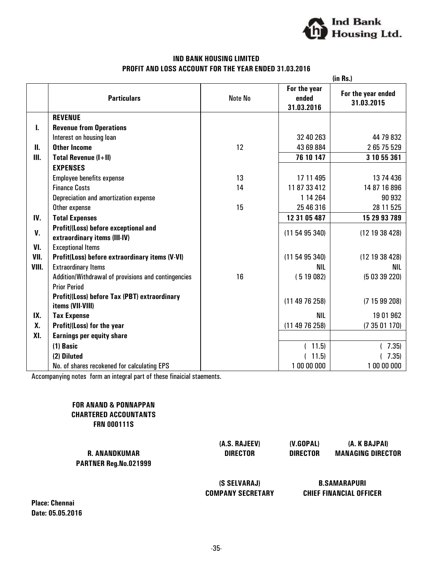

#### **IND BANK HOUSING LIMITED PROFIT AND LOSS ACCOUNT FOR THE YEAR ENDED 31.03.2016**

|       |                                                                            |         |                                     | (in Rs.)                         |
|-------|----------------------------------------------------------------------------|---------|-------------------------------------|----------------------------------|
|       | <b>Particulars</b>                                                         | Note No | For the year<br>ended<br>31.03.2016 | For the year ended<br>31.03.2015 |
|       | <b>REVENUE</b>                                                             |         |                                     |                                  |
| L     | <b>Revenue from Operations</b>                                             |         |                                     |                                  |
|       | Interest on housing loan                                                   |         | 32 40 263                           | 44 79 832                        |
| Ш.    | Other Income                                                               | 12      | 43 69 884                           | 2 65 75 529                      |
| Ш.    | <b>Total Revenue (I+II)</b>                                                |         | 76 10 147                           | 3 10 55 361                      |
|       | <b>EXPENSES</b>                                                            |         |                                     |                                  |
|       | <b>Employee benefits expense</b>                                           | 13      | 17 11 495                           | 13 74 436                        |
|       | <b>Finance Costs</b>                                                       | 14      | 11 87 33 412                        | 14 87 16 896                     |
|       | Depreciation and amortization expense                                      |         | 1 14 2 64                           | 90 932                           |
|       | Other expense                                                              | 15      | 25 46 316                           | 28 11 525                        |
| IV.   | <b>Total Expenses</b>                                                      |         | 12 31 05 487                        | 15 29 93 789                     |
| V.    | Profit/(Loss) before exceptional and<br>extraordinary items (III-IV)       |         | (115495340)                         | (121938428)                      |
| VI.   | <b>Exceptional Items</b>                                                   |         |                                     |                                  |
| VII.  | Profit(Loss) before extraordinary items (V-VI)                             |         | (115495340)                         | (121938428)                      |
| VIII. | <b>Extraordinary Items</b>                                                 |         | NII                                 | NII                              |
|       | Addition/Withdrawal of provisions and contingencies<br><b>Prior Period</b> | 16      | (519082)                            | (5 03 39 220)                    |
|       | Profit/(Loss) before Tax (PBT) extraordinary<br>items (VII-VIII)           |         | (114976258)                         | (71599208)                       |
| IX.   | <b>Tax Expense</b>                                                         |         | NII                                 | 1901962                          |
| Χ.    | Profit/(Loss) for the year                                                 |         | (11 49 76 258)                      | (73501170)                       |
| XI.   | <b>Earnings per equity share</b>                                           |         |                                     |                                  |
|       | (1) Basic                                                                  |         | 11.5                                | 7.35)                            |
|       | (2) Diluted                                                                |         | 11.5                                | 7.35)                            |
|       | No. of shares recokened for calculating EPS                                |         | 1 00 00 000                         | 1 00 00 000                      |

Accompanying notes form an integral part of these finaicial staements.

#### **FOR ANAND & PONNAPPAN CHARTERED ACCOUNTANTS FRN 000111S**

**R. ANANDKUMAR DIRECTOR DIRECTOR MANAGING DIRECTOR**

**(A.S. RAJEEV) (V.GOPAL) (A. K BAJPAI)**

**PARTNER Reg.No.021999**

**(S SELVARAJ) B.SAMARAPURI COMPANY SECRETARY CHIEF FINANCIAL OFFICER**

**Place: Chennai Date: 05.05.2016**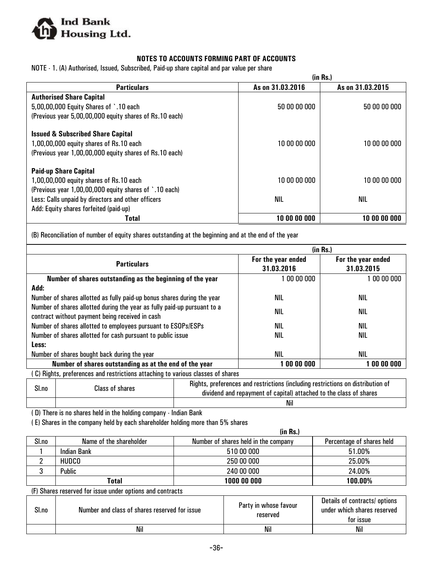

#### **NOTES TO ACCOUNTS FORMING PART OF ACCOUNTS**

NOTE - 1. (A) Authorised, Issued, Subscribed, Paid-up share capital and par value per share

|                                                         |                  | (in Rs.)         |
|---------------------------------------------------------|------------------|------------------|
| <b>Particulars</b>                                      | As on 31.03.2016 | As on 31.03.2015 |
| <b>Authorised Share Capital</b>                         |                  |                  |
| 5,00,00,000 Equity Shares of `.10 each                  | 50 00 00 000     | 50 00 00 000     |
| (Previous year 5,00,00,000 equity shares of Rs.10 each) |                  |                  |
| <b>Issued &amp; Subscribed Share Capital</b>            |                  |                  |
| 1,00,00,000 equity shares of Rs.10 each                 | 10 00 00 000     | 10 00 00 000     |
| (Previous year 1,00,00,000 equity shares of Rs.10 each) |                  |                  |
| <b>Paid-up Share Capital</b>                            |                  |                  |
| 1,00,00,000 equity shares of Rs.10 each                 | 10 00 00 000     | 10 00 00 000     |
| (Previous year 1,00,00,000 equity shares of `.10 each)  |                  |                  |
| Less: Calls unpaid by directors and other officers      | <b>NIL</b>       | NIL              |
| Add: Equity shares forfeited (paid-up)                  |                  |                  |
| Total                                                   | 10 00 00 000     | 10 00 00 000     |

(B) Reconciliation of number of equity shares outstanding at the beginning and at the end of the year

|                                                                                                                             |  | (in Rs.)                         |                                  |
|-----------------------------------------------------------------------------------------------------------------------------|--|----------------------------------|----------------------------------|
| <b>Particulars</b>                                                                                                          |  | For the year ended<br>31.03.2016 | For the year ended<br>31.03.2015 |
| Number of shares outstanding as the beginning of the year                                                                   |  | 1 00 00 000                      | 1 00 00 000                      |
| Add:                                                                                                                        |  |                                  |                                  |
| Number of shares allotted as fully paid up bonus shares during the year                                                     |  | NIL                              | NIL                              |
| Number of shares allotted during the year as fully paid-up pursuant to a<br>contract without payment being received in cash |  | NIL                              | NIL                              |
| Number of shares allotted to employees pursuant to ESOPs/ESPs                                                               |  | NII                              | NIL                              |
| Number of shares allotted for cash pursuant to public issue                                                                 |  | NIL                              | NIL                              |
| Less:                                                                                                                       |  |                                  |                                  |
| Number of shares bought back during the year                                                                                |  | NIL                              | NIL                              |
| Number of shares outstanding as at the end of the year                                                                      |  | 1 00 00 000                      | 00 00 000                        |
| (C) Rights, preferences and restrictions attaching to various classes of shares                                             |  |                                  |                                  |
|                                                                                                                             |  |                                  | .                                |

| SI.no | Class of shares | Rights, preferences and restrictions (including restrictions on distribution of<br>dividend and repayment of capital) attached to the class of shares |
|-------|-----------------|-------------------------------------------------------------------------------------------------------------------------------------------------------|
|       |                 | Nil                                                                                                                                                   |

( D) There is no shares held in the holding company - Indian Bank

( E) Shares in the company held by each shareholder holding more than 5% shares

|       |                         | (in Rs.)                             |                           |  |
|-------|-------------------------|--------------------------------------|---------------------------|--|
| SI.no | Name of the shareholder | Number of shares held in the company | Percentage of shares held |  |
|       | Indian Bank             | 510 00 000                           | 51.00%                    |  |
|       | HUDCO                   | 250 00 000                           | 25.00%                    |  |
|       | <b>Public</b>           | 240 00 000                           | 24.00%                    |  |
|       | Total                   | 1000 00 000                          | 100.00%                   |  |

(F) Shares reserved for issue under options and contracts

| SI.no | Number and class of shares reserved for issue | Party in whose favour<br>reserved | Details of contracts/options<br>under which shares reserved<br>for issue |
|-------|-----------------------------------------------|-----------------------------------|--------------------------------------------------------------------------|
|       | Nil                                           | Nil                               | Nil                                                                      |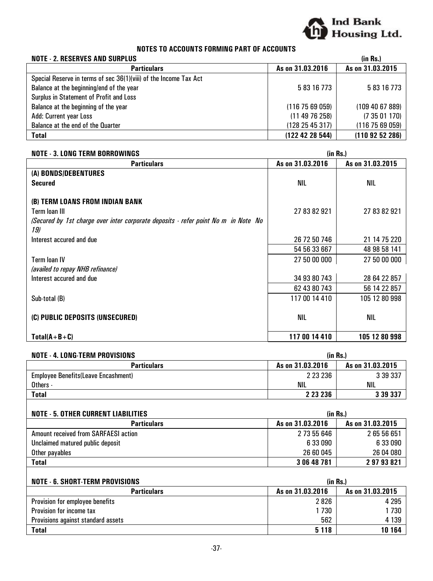

#### **NOTES TO ACCOUNTS FORMING PART OF ACCOUNTS**

| <b>NOTE - 2. RESERVES AND SURPLUS</b>                             |                  | (in Rs.)         |
|-------------------------------------------------------------------|------------------|------------------|
| <b>Particulars</b>                                                | As on 31.03.2016 | As on 31.03.2015 |
| Special Reserve in terms of sec 36(1)(viii) of the Income Tax Act |                  |                  |
| Balance at the beginning/end of the year                          | 5 83 16 773      | 5 83 16 773      |
| Surplus in Statement of Profit and Loss                           |                  |                  |
| Balance at the beginning of the year                              | (1167569059)     | (109 40 67 889)  |
| Add: Current year Loss                                            | (114976258)      | (73501170)       |
| Balance at the end of the Quarter                                 | (1282545317)     | (1167569059)     |
| <b>Total</b>                                                      | (122 42 28 544)  | (1109252286)     |

#### **NOTE - 3. LONG TERM BORROWINGS (in Rs.)**

| NUIL J. LUNU I LIINI DUIINUNINGU                                                          | ,,,, ,,,,        |                  |
|-------------------------------------------------------------------------------------------|------------------|------------------|
| <b>Particulars</b>                                                                        | As on 31.03.2016 | As on 31.03.2015 |
| (A) BONDS/DEBENTURES                                                                      |                  |                  |
| <b>Secured</b>                                                                            | <b>NIL</b>       | NIL              |
|                                                                                           |                  |                  |
| (B) TERM LOANS FROM INDIAN BANK                                                           |                  |                  |
| Term loan III                                                                             | 27 83 82 921     | 27 83 82 921     |
| (Secured by 1st charge over inter corporate deposits - refer point No m in Note No<br>19) |                  |                  |
| Interest accured and due                                                                  | 26 72 50 746     | 21 14 75 220     |
|                                                                                           | 54 56 33 667     | 48 98 58 141     |
| Term loan IV                                                                              | 27 50 00 000     | 27 50 00 000     |
| (availed to repay NHB refinance)                                                          |                  |                  |
| Interest accured and due                                                                  | 34 93 80 743     | 28 64 22 857     |
|                                                                                           | 62 43 80 743     | 56 14 22 857     |
| Sub-total (B)                                                                             | 117 00 14 410    | 105 12 80 998    |
|                                                                                           |                  |                  |
| (C) PUBLIC DEPOSITS (UNSECURED)                                                           | <b>NIL</b>       | NIL              |
| $Total(A + B + C)$                                                                        | 117 00 14 410    | 105 12 80 998    |
|                                                                                           |                  |                  |

|--|

| NOTE 4. LONG TERM PROVISIONS                | (in Rs.)         |                  |  |
|---------------------------------------------|------------------|------------------|--|
| <b>Particulars</b>                          | As on 31.03.2016 | As on 31.03.2015 |  |
| <b>Employee Benefits (Leave Encashment)</b> | 2 23 236         | 3 39 337         |  |
| Others -                                    | NIL              | NIL              |  |
| <b>Total</b>                                | 2 23 236         | 3 39 337         |  |

#### **NOTE - 5. OTHER CURRENT LIABILITIES (in Rs.)**

|                                      | ,,,,,,,,,,       |                  |
|--------------------------------------|------------------|------------------|
| <b>Particulars</b>                   | As on 31.03.2016 | As on 31.03.2015 |
| Amount received from SARFAESI action | 2 73 55 646      | 26556651         |
| Unclaimed matured public deposit     | 6 33 090         | 6 33 090         |
| Other payables                       | 26 60 045        | 26 04 080        |
| Total                                | 30648781         | 29793821         |

# **NOTE - 6. SHORT-TERM PROVISIONS (in Rs.)**

| <b>Particulars</b>                 | As on 31.03.2016 | As on 31.03.2015 |
|------------------------------------|------------------|------------------|
| Provision for employee benefits    | 2826             | 4 2 9 5          |
| <b>Provision for income tax</b>    | 730              | 730              |
| Provisions against standard assets | 562              | 4 1 3 9          |
| <b>Total</b>                       | 5 1 1 8          | 10 164           |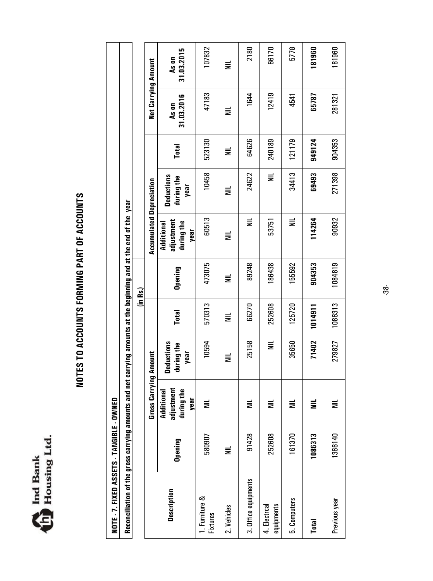

# NOTES TO ACCOUNTS FORMING PART OF ACCOUNTS **NOTES TO ACCOUNTS FORMING PART OF ACCOUNTS**

|          |                                                                                 |                            |             |                      |                            |              |         | 181960        |
|----------|---------------------------------------------------------------------------------|----------------------------|-------------|----------------------|----------------------------|--------------|---------|---------------|
|          |                                                                                 |                            |             |                      |                            |              |         |               |
|          | 31.03.2016<br>As on                                                             | 47183                      | ã           | 1644                 | 12419                      | 4541         | 65787   | 281321        |
|          | Total                                                                           | 523130                     | 言           | 64626                | 240189                     | 121179       | 949124  | 904353        |
|          | Deductions<br>during the<br>year                                                | 10458                      | ≣           | 24622                | 言                          | 34413        | 69493   | 271398        |
|          | adjustment<br>during the<br>Additional<br>year                                  | 60513                      | ≣           | 言                    | 53751                      | ă            | 114264  | 90932         |
|          | Opening                                                                         | 473075                     | ä           | 89248                | 186438                     | 155592       | 904353  | 1084819       |
|          | Total                                                                           | 570313                     | ≣           | 66270                | 252608                     | 125720       | 1014911 | 1086313       |
|          | Deductions<br>during the<br>year                                                | 10594                      | ã           | 25158                | ≣                          | 35650        | 71402   | 279827        |
|          | adjustment<br>during the<br>Additional<br>year                                  | 言                          |             | 言                    | ≣                          | ≣            | 를       | Ħ             |
|          | Opening                                                                         | 580907                     | ≣           | 91428                | 252608                     | 161370       | 1086313 | 1366140       |
|          | Description                                                                     | 1. Furniture &<br>Fixtures | 2. Vehicles | 3. Office equipments | 4. Electrcal<br>equipments | 5. Computers | Total   | Previous year |
| (in Rs.) | Net Carrying Amount<br><b>Accumulated Depreciation</b><br>Gross Carrying Amount | 31.03.2015<br>As on        | 107832      | 言                    | 2180                       | 66170        | 5778    | 181960        |

-38-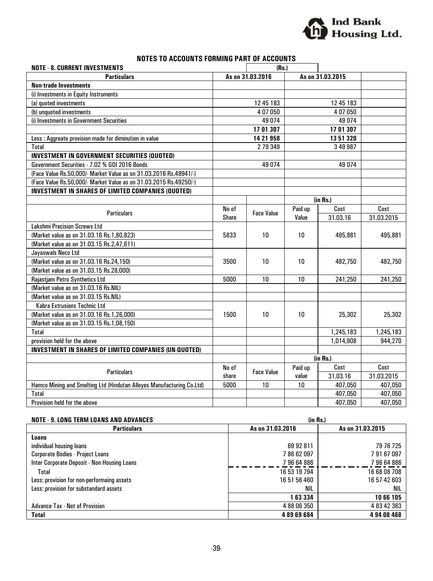

| NUIES IU ALLUUNIS FUKMING PAKI UF ALLUUNIS<br><b>NOTE - 8. CURRENT INVESTMENTS</b> |       | (Rs.)             |                  |           |            |
|------------------------------------------------------------------------------------|-------|-------------------|------------------|-----------|------------|
| <b>Particulars</b>                                                                 |       | As on 31.03.2016  | As on 31.03.2015 |           |            |
| <b>Non-trade Investments</b>                                                       |       |                   |                  |           |            |
| (i) Investments in Equity Instruments                                              |       |                   |                  |           |            |
| (a) quoted investments                                                             |       | 12 45 183         |                  | 12 45 183 |            |
| (b) unquoted investments                                                           |       | 4 07 050          |                  | 4 07 050  |            |
| (i) Investments in Government Securities                                           |       | 49074             |                  | 49 0 74   |            |
|                                                                                    |       | 17 01 307         |                  | 17 01 307 |            |
| Less: Aggreate provision made for diminution in value                              |       | 14 21 958         |                  | 13 51 320 |            |
| Total                                                                              |       | 2 79 349          |                  | 349987    |            |
| <b>INVESTMENT IN GOVERNMENT SECURITIES (QUOTED)</b>                                |       |                   |                  |           |            |
| Government Securities - 7.02 % GOI 2016 Bonds                                      |       | 49074             |                  | 49074     |            |
| (Face Value Rs.50.000/- Market Value as on 31.03.2016 Rs.49941/-)                  |       |                   |                  |           |            |
| (Face Value Rs.50,000/- Market Value as on 31.03.2015 Rs.49250/-)                  |       |                   |                  |           |            |
| <b>INVESTMENT IN SHARES OF LIMITED COMPANIES (QUOTED)</b>                          |       |                   |                  |           |            |
|                                                                                    |       |                   |                  | (in Rs.)  |            |
|                                                                                    | No of |                   | Paid up          | Cost      | Cost       |
| <b>Particulars</b>                                                                 | Share | <b>Face Value</b> | Value            | 31.03.16  | 31.03.2015 |
| <b>Lakshmi Precision Screws Ltd</b>                                                |       |                   |                  |           |            |
| (Market value as on 31.03.16 Rs.1,80,823)                                          | 5833  | 10                | 10               | 495,881   | 495,881    |
| (Market value as on 31.03.15 Rs.2,47,611)                                          |       |                   |                  |           |            |
| Jayaswals Neco Ltd                                                                 |       |                   |                  |           |            |
| (Market value as on 31.03.16 Rs.24,150)                                            | 3500  | 10 <sup>1</sup>   | 10               | 482.750   | 482,750    |
| (Market value as on 31.03.15 Rs.28,000)                                            |       |                   |                  |           |            |
| Rajastiam Petro Synthetics Ltd                                                     | 5000  | 10                | 10               | 241.250   | 241.250    |
| (Market value as on 31.03.16 Rs.NIL)                                               |       |                   |                  |           |            |
| (Market value as on 31.03.15 Rs.NIL)                                               |       |                   |                  |           |            |
| Kabra Extrusions Technic Ltd                                                       |       |                   |                  |           |            |
| (Market value as on 31.03.16 Rs.1,26,000)                                          | 1500  | 10 <sup>1</sup>   | 10               | 25.302    | 25,302     |
| (Market value as on 31.03.15 Rs.1,08,150)                                          |       |                   |                  |           |            |
| Total                                                                              |       |                   |                  | 1,245,183 | 1,245,183  |
| provision held for the above                                                       |       |                   |                  | 1.014.908 | 944.270    |
| <b>INVESTMENT IN SHARES OF LIMITED COMPANIES (UN-QUOTED)</b>                       |       |                   |                  |           |            |
|                                                                                    |       |                   | (in Rs.)         |           |            |
|                                                                                    | No of |                   | Paid up          | Cost      | Cost       |
| <b>Particulars</b>                                                                 | share | <b>Face Value</b> | value            | 31.03.16  | 31.03.2015 |
| Hamco Mining and Smelting Ltd (Hindutan Alloyes Manufacturing Co.Ltd)              | 5000  | 10                | 10               | 407,050   | 407,050    |
| Total                                                                              |       |                   |                  | 407.050   | 407.050    |
| Provision held for the above                                                       |       |                   |                  | 407.050   | 407.050    |

# **NOTES TO ACCOUNTS FORMING PART OF ACCOUNTS**

| <b>NOTE - 9. LONG TERM LOANS AND ADVANCES</b> | (in Rs.)         |                  |  |  |
|-----------------------------------------------|------------------|------------------|--|--|
| <b>Particulars</b>                            | As on 31.03.2016 | As on 31.03.2015 |  |  |
| Loans                                         |                  |                  |  |  |
| individual housing loans                      | 69 92 811        | 79 76 725        |  |  |
| <b>Corporate Bodies - Project Loans</b>       | 78662097         | 79167097         |  |  |
| Inter Corporate Deposit - Non Housing Loans   | 79664886         | 79664886         |  |  |
| Total                                         | 16 53 19 794     | 16 68 08 708     |  |  |
| Less: provision for non-performaing assets    | 16 51 56 460     | 16 57 42 603     |  |  |
| Less: provision for substandard assets        | NIL              | NIL              |  |  |
|                                               | 163334           | 10 66 105        |  |  |
| <b>Advance Tax - Net of Provision</b>         | 4 88 06 350      | 4 83 42 363      |  |  |
| <b>Total</b>                                  | 48969684         | 49408468         |  |  |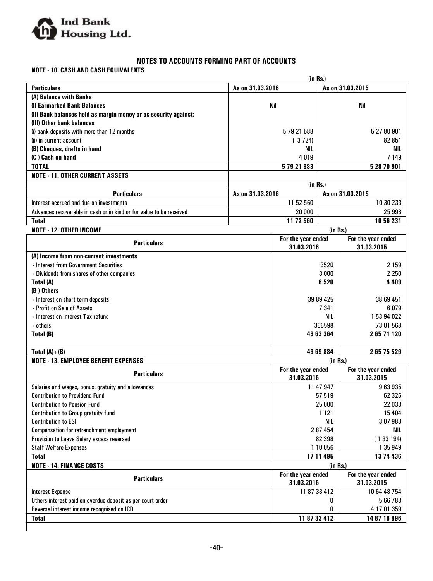

#### **NOTES TO ACCOUNTS FORMING PART OF ACCOUNTS**

#### **NOTE - 10. CASH AND CASH EQUIVALENTS**

|                                                                     | (in Rs.)         |                  |  |  |
|---------------------------------------------------------------------|------------------|------------------|--|--|
| <b>Particulars</b>                                                  | As on 31.03.2016 | As on 31.03.2015 |  |  |
| (A) Balance with Banks                                              |                  |                  |  |  |
| (I) Earmarked Bank Balances                                         | Nil              | Nil              |  |  |
| (II) Bank balances held as margin money or as security against:     |                  |                  |  |  |
| (III) Other bank balances                                           |                  |                  |  |  |
| (i) bank deposits with more than 12 months                          | 579 21 588       | 5 27 80 901      |  |  |
| (ii) in current account                                             | 3724)            | 82851            |  |  |
| (B) Cheques, drafts in hand                                         | NIL              | NIL              |  |  |
| (C) Cash on hand                                                    | 4019             | 7 1 4 9          |  |  |
| <b>TOTAL</b>                                                        | 57921883         | 5 28 70 901      |  |  |
| <b>NOTE - 11. OTHER CURRENT ASSETS</b>                              |                  |                  |  |  |
|                                                                     | (in Rs.)         |                  |  |  |
| <b>Particulars</b>                                                  | As on 31.03.2016 | As on 31.03.2015 |  |  |
| Interest accrued and due on investments                             | 11 52 560        | 10 30 233        |  |  |
| Advances recoverable in cash or in kind or for value to be received | 20 000           | 25 998           |  |  |
| Total                                                               | 11 72 560        | 1056231          |  |  |
| <b>NOTE . 12 OTHER INCOME</b>                                       |                  | (in Re)          |  |  |

| NUIL : IZ. UIIILII INGUML                  | 1111 113. <i>1</i>               |                                  |
|--------------------------------------------|----------------------------------|----------------------------------|
| <b>Particulars</b>                         | For the year ended<br>31.03.2016 | For the year ended<br>31.03.2015 |
| (A) Income from non-current investments    |                                  |                                  |
| - Interest from Government Securities      | 3520                             | 2 1 5 9                          |
| - Dividends from shares of other companies | 3000                             | 2 2 5 0                          |
| Total (A)                                  | 6520                             | 4409                             |
| (B) Others                                 |                                  |                                  |
| - Interest on short term deposits          | 39 89 425                        | 38 69 451                        |
| - Profit on Sale of Assets                 | 7 341                            | 6079                             |
| - Interest on Interest Tax refund          | NIL                              | 1 53 94 022                      |
| - others                                   | 366598                           | 73 01 568                        |
| Total (B)                                  | 43 63 364                        | 26571120                         |
|                                            |                                  |                                  |

**Total (A)+(B) 43 69 884 2 65 75 529**

| <b>NOTE - 13. EMPLOYEE BENEFIT EXPENSES</b>                | (in Rs.)           |                    |  |
|------------------------------------------------------------|--------------------|--------------------|--|
| <b>Particulars</b>                                         | For the year ended | For the year ended |  |
|                                                            | 31.03.2016         | 31.03.2015         |  |
| Salaries and wages, bonus, gratuity and allowances         | 11 47 947          | 963935             |  |
| <b>Contribution to Providend Fund</b>                      | 57519              | 62 326             |  |
| <b>Contribution to Pension Fund</b>                        | 25 000             | 22033              |  |
| Contribution to Group gratuity fund                        | 1 1 2 1            | 15 4 04            |  |
| <b>Contribution to ESI</b>                                 | NII                | 307983             |  |
| Compensation for retrenchment employment                   | 287454             | NIL                |  |
| Provision to Leave Salary excess reversed                  | 82 398             | 1 33 1 94)         |  |
| <b>Staff Welfare Expenses</b>                              | 1 10 056           | 1 35 949           |  |
| Total                                                      | 17 11 495          | 13 74 436          |  |
| <b>NOTE - 14. FINANCE COSTS</b>                            | (in Rs.)           |                    |  |
| <b>Particulars</b>                                         | For the year ended | For the year ended |  |
|                                                            | 31.03.2016         | 31.03.2015         |  |
| <b>Interest Expense</b>                                    | 11 87 33 412       | 10 64 48 754       |  |
| Others interest paid on overdue deposit as per court order | 0                  | 566783             |  |
| Reversal interest income recognised on ICD                 | 4 17 01 359<br>0   |                    |  |
| Total                                                      | 118733412          | 14 87 16 896       |  |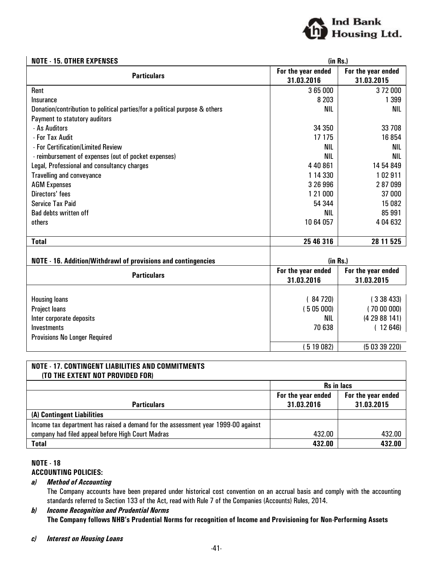

| <b>NOTE 15. OTHER EXPENSES</b>                                              | (in Rs.)                         |                                  |  |
|-----------------------------------------------------------------------------|----------------------------------|----------------------------------|--|
| <b>Particulars</b>                                                          | For the year ended<br>31.03.2016 | For the year ended<br>31.03.2015 |  |
| Rent                                                                        | 3 65 000                         | 372000                           |  |
| Insurance                                                                   | 8 2 0 3                          | 1 3 9 9                          |  |
| Donation/contribution to political parties/for a political purpose & others | NIL                              | NIL                              |  |
| Payment to statutory auditors                                               |                                  |                                  |  |
| - As Auditors                                                               | 34 350                           | 33 708                           |  |
| - For Tax Audit                                                             | 17 175                           | 16854                            |  |
| - For Certification/Limited Review                                          | NIL                              | NIL                              |  |
| - reimbursement of expenses (out of pocket expenses)                        | NIL                              | NIL                              |  |
| Legal, Professional and consultancy charges                                 | 440861                           | 14 54 849                        |  |
| Travelling and conveyance                                                   | 1 14 330                         | 102911                           |  |
| <b>AGM Expenses</b>                                                         | 3 26 996                         | 287099                           |  |
| Directors' fees                                                             | 1 21 000                         | 37 000                           |  |
| <b>Service Tax Paid</b>                                                     | 54 344                           | 15082                            |  |
| <b>Bad debts written off</b>                                                | NIL                              | 85991                            |  |
| others                                                                      | 10 64 057                        | 4 04 632                         |  |
| <b>Total</b>                                                                | 25 46 316                        | 28 11 525                        |  |

| <b>NOTE</b> 16. Addition/Withdrawl of provisions and contingencies                                                              |                                       | (in Rs.)                                         |  |  |
|---------------------------------------------------------------------------------------------------------------------------------|---------------------------------------|--------------------------------------------------|--|--|
| <b>Particulars</b>                                                                                                              | For the year ended<br>31.03.2016      | For the year ended<br>31.03.2015                 |  |  |
| <b>Housing loans</b><br><b>Project loans</b><br>Inter corporate deposits<br>Investments<br><b>Provisions No Longer Required</b> | 84 720)<br>5 05 000)<br>NIL<br>70 638 | (338433)<br>(70 00 000)<br>(42988141)<br>12 646) |  |  |
|                                                                                                                                 | 5 19 082)                             | (50339220)                                       |  |  |

#### **NOTE - 17. CONTINGENT LIABILITIES AND COMMITMENTS (TO THE EXTENT NOT PROVIDED FOR)**

|                                                                                   | <b>Rs in lacs</b>                                                    |        |
|-----------------------------------------------------------------------------------|----------------------------------------------------------------------|--------|
| <b>Particulars</b>                                                                | For the year ended<br>For the year ended<br>31.03.2016<br>31.03.2015 |        |
| (A) Contingent Liabilities                                                        |                                                                      |        |
| Income tax department has raised a demand for the assessment year 1999-00 against |                                                                      |        |
| company had filed appeal before High Court Madras                                 | 432.00                                                               | 432.00 |
| <b>Total</b>                                                                      | 432.00                                                               | 432.00 |

# **NOTE - 18 ACCOUNTING POLICIES:**

#### *a) Method of Accounting*

The Company accounts have been prepared under historical cost convention on an accrual basis and comply with the accounting standards referred to Section 133 of the Act, read with Rule 7 of the Companies (Accounts) Rules, 2014.

# *b) Income Recognition and Prudential Norms* **The Company follows NHB's Prudential Norms for recognition of Income and Provisioning for Non-Performing Assets**

*c) Interest on Housing Loans*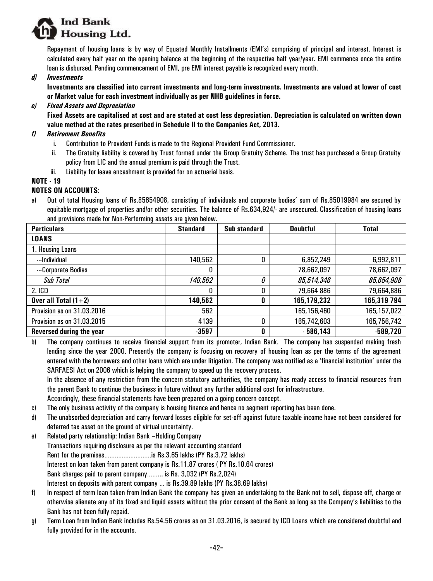# **Ind Bank Housing Ltd.**

Repayment of housing loans is by way of Equated Monthly Installments (EMI's) comprising of principal and interest. Interest is calculated every half year on the opening balance at the beginning of the respective half year/year. EMI commence once the entire loan is disbursed. Pending commencement of EMI, pre EMI interest payable is recognized every month.

#### *d) Investments*

**Investments are classified into current investments and long-term investments. Investments are valued at lower of cost or Market value for each investment individually as per NHB guidelines in force.**

#### *e) Fixed Assets and Depreciation*

**Fixed Assets are capitalised at cost and are stated at cost less depreciation. Depreciation is calculated on written down value method at the rates prescribed in Schedule II to the Companies Act, 2013.**

#### *f) Retirement Benefits*

- i. Contribution to Provident Funds is made to the Regional Provident Fund Commissioner.
- ii. The Gratuity liability is covered by Trust formed under the Group Gratuity Scheme. The trust has purchased a Group Gratuity policy from LIC and the annual premium is paid through the Trust.
- iii. Liability for leave encashment is provided for on actuarial basis.

#### **NOTE - 19**

#### **NOTES ON ACCOUNTS:**

a) Out of total Housing loans of Rs.85654908, consisting of individuals and corporate bodies' sum of Rs.85019984 are secured by equitable mortgage of properties and/or other securities. The balance of Rs.634.924/- are unsecured. Classification of housing loans and provisions made for Non-Performing assets are given below.

| <b>Particulars</b>         | <b>Standard</b> | <b>Sub standard</b> | <b>Doubtful</b> | Total         |
|----------------------------|-----------------|---------------------|-----------------|---------------|
| <b>LOANS</b>               |                 |                     |                 |               |
| 1. Housing Loans           |                 |                     |                 |               |
| ---Individual              | 140,562         | 0                   | 6,852,249       | 6,992,811     |
| Corporate Bodies           | 0               |                     | 78,662,097      | 78,662,097    |
| Sub Total                  | 140,562         | 0                   | 85,514,346      | 85,654,908    |
| 2. ICD                     | 0               | O                   | 79,664 886      | 79,664,886    |
| Over all Total $(1+2)$     | 140.562         | 0                   | 165,179,232     | 165.319 794   |
| Provision as on 31.03.2016 | 562             |                     | 165,156,460     | 165, 157, 022 |
| Provision as on 31.03.2015 | 4139            | O                   | 165,742,603     | 165,756,742   |
| Reversed during the year   | $-3597$         | 0                   | $-586,143$      | $-589.720$    |

b) The company continues to receive financial support from its promoter, Indian Bank. The company has suspended making fresh lending since the year 2000. Presently the company is focusing on recovery of housing loan as per the terms of the agreement entered with the borrowers and other loans which are under litigation. The company was notified as a 'financial institution' under the SARFAESI Act on 2006 which is helping the company to speed up the recovery process.

In the absence of any restriction from the concern statutory authorities, the company has ready access to financial resources from the parent Bank to continue the business in future without any further additional cost for infrastructure.

Accordingly, these financial statements have been prepared on a going concern concept.

- c) The only business activity of the company is housing finance and hence no segment reporting has been done.
- d) The unabsorbed depreciation and carry forward losses eligible for set-off against future taxable income have not been considered for deferred tax asset on the ground of virtual uncertainty.
- e) Related party relationship: Indian Bank –Holding Company Transactions requiring disclosure as per the relevant accounting standard Rent for the premises………………………is Rs.3.65 lakhs (PY Rs.3.72 lakhs) Interest on loan taken from parent company is Rs.11.87 crores ( PY Rs.10.64 crores) Bank charges paid to parent company……... is Rs. 3,032 (PY Rs.2,024) Interest on deposits with parent company … is Rs.39.89 lakhs (PY Rs.38.69 lakhs)
- f) In respect of term loan taken from Indian Bank the company has given an undertaking to the Bank not to sell, dispose off, charge or otherwise alienate any of its fixed and liquid assets without the prior consent of the Bank so long as the Company's liabilities to the Bank has not been fully repaid.
- g) Term Loan from Indian Bank includes Rs.54.56 crores as on 31.03.2016, is secured by ICD Loans which are considered doubtful and fully provided for in the accounts.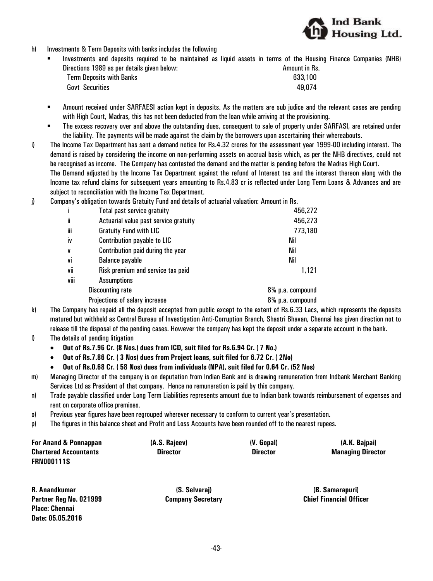

- h) Investments & Term Deposits with banks includes the following
	- **Investments and deposits required to be maintained as liquid assets in terms of the Housing Finance Companies (NHB)** Directions 1989 as per details given below: The Contractions of the Amount in Rs.

| .   .   |
|---------|
| 633,100 |
| 49.074  |
|         |

- Amount received under SARFAESI action kept in deposits. As the matters are sub judice and the relevant cases are pending with High Court. Madras, this has not been deducted from the loan while arriving at the provisioning.
- The excess recovery over and above the outstanding dues, consequent to sale of property under SARFASI, are retained under the liability. The payments will be made against the claim by the borrowers upon ascertaining their whereabouts.
- i) The Income Tax Department has sent a demand notice for Rs.4.32 crores for the assessment year 1999-00 including interest. The demand is raised by considering the income on non-performing assets on accrual basis which, as per the NHB directives, could not be recognised as income. The Company has contested the demand and the matter is pending before the Madras High Court.

The Demand adjusted by the Income Tax Department against the refund of Interest tax and the interest thereon along with the Income tax refund claims for subsequent years amounting to Rs.4.83 cr is reflected under Long Term Loans & Advances and are subject to reconciliation with the Income Tax Department.

j) Company's obligation towards Gratuity Fund and details of actuarial valuation: Amount in Rs.

| i            | Total past service gratuity           | 456,272          |
|--------------|---------------------------------------|------------------|
| ï            | Actuarial value past service gratuity | 456,273          |
| ΪÏ           | <b>Gratuity Fund with LIC</b>         | 773,180          |
| iv           | Contribution payable to LIC           | Nil              |
| $\mathsf{v}$ | Contribution paid during the year     | Nil              |
| ٧i           | Balance payable                       | Nil              |
| vii          | Risk premium and service tax paid     | 1.121            |
| viii         | Assumptions                           |                  |
|              | <b>Discounting rate</b>               | 8% p.a. compound |
|              | Projections of salary increase        | 8% p.a. compound |

- k) The Company has repaid all the deposit accepted from public except to the extent of Rs.6.33 Lacs, which represents the deposits matured but withheld as Central Bureau of Investigation Anti-Corruption Branch, Shastri Bhavan, Chennai has given direction not to release till the disposal of the pending cases. However the company has kept the deposit under a separate account in the bank.
- l) The details of pending litigation
	- **Out of Rs.7.96 Cr. (8 Nos.) dues from ICD, suit filed for Rs.6.94 Cr. ( 7 No.)**
	- **Out of Rs.7.86 Cr. ( 3 Nos) dues from Project loans, suit filed for 6.72 Cr. ( 2No)**
	- **Out of Rs.0.68 Cr. ( 58 Nos) dues from individuals (NPA), suit filed for 0.64 Cr. (52 Nos)**
- m) Managing Director of the company is on deputation from Indian Bank and is drawing remuneration from Indbank Merchant Banking Services Ltd as President of that company. Hence no remuneration is paid by this company.
- n) Trade payable classified under Long Term Liabilities represents amount due to Indian bank towards reimbursement of expenses and rent on corporate office premises.
- o) Previous year figures have been regrouped wherever necessary to conform to current year's presentation.
- p) The figures in this balance sheet and Profit and Loss Accounts have been rounded off to the nearest rupees.

| For Anand & Ponnappan                             | (A.S. Rajeev)   | (V. Gopal)      | (A.K. Baipai)            |
|---------------------------------------------------|-----------------|-----------------|--------------------------|
| <b>Chartered Accountants</b><br><b>FRN000111S</b> | <b>Director</b> | <b>Director</b> | <b>Managing Director</b> |

**R. Anandkumar (S. Selvaraj) (B. Samarapuri) Partner Reg No. 021999 Company Secretary Chief Financial Officer Place: Chennai Date: 05.05.2016**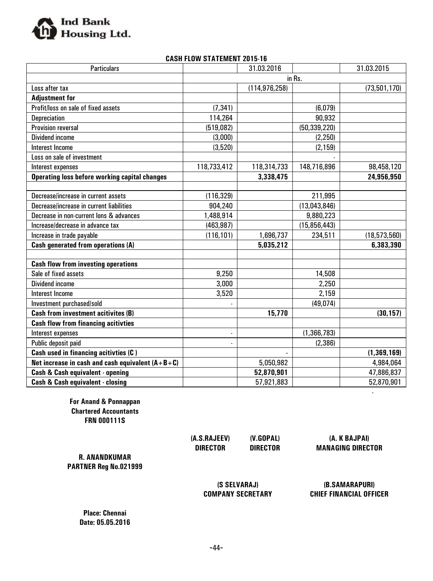

#### **CASH FLOW STATEMENT 2015-16**

| <b>Particulars</b>                                     |                | 31.03.2016      |                | 31.03.2015     |
|--------------------------------------------------------|----------------|-----------------|----------------|----------------|
|                                                        | in Rs.         |                 |                |                |
| Loss after tax                                         |                | (114, 976, 258) |                | (73,501,170)   |
| <b>Adjustment for</b>                                  |                |                 |                |                |
| Profit/loss on sale of fixed assets                    | (7, 341)       |                 | (6,079)        |                |
| Depreciation                                           | 114,264        |                 | 90.932         |                |
| <b>Provision reversal</b>                              | (519, 082)     |                 | (50, 339, 220) |                |
| Dividend income                                        | (3,000)        |                 | (2, 250)       |                |
| <b>Interest Income</b>                                 | (3.520)        |                 | (2, 159)       |                |
| Loss on sale of investment                             |                |                 |                |                |
| Interest expenses                                      | 118,733,412    | 118,314,733     | 148,716,896    | 98,458,120     |
| Operating loss before working capital changes          |                | 3,338,475       |                | 24,956,950     |
|                                                        |                |                 |                |                |
| Decrease/increase in current assets                    | (116, 329)     |                 | 211,995        |                |
| Decrease/increase in current liabilities               | 904.240        |                 | (13,043,846)   |                |
| Decrease in non-current lons & advances                | 1,488,914      |                 | 9,880,223      |                |
| Increase/decrease in advance tax                       | (463, 987)     |                 | (15,856,443)   |                |
| Increase in trade payable                              | (116, 101)     | 1,696,737       | 234.511        | (18, 573, 560) |
| Cash generated from operations (A)                     |                | 5,035,212       |                | 6,383,390      |
|                                                        |                |                 |                |                |
| <b>Cash flow from investing operations</b>             |                |                 |                |                |
| Sale of fixed assets                                   | 9,250          |                 | 14,508         |                |
| Dividend income                                        | 3,000          |                 | 2.250          |                |
| Interest Income                                        | 3,520          |                 | 2.159          |                |
| Investment purchased/sold                              |                |                 | (49, 074)      |                |
| Cash from investment acitivites (B)                    |                | 15,770          |                | (30, 157)      |
| <b>Cash flow from financing acitivties</b>             |                |                 |                |                |
| Interest expenses                                      | $\blacksquare$ |                 | (1,366,783)    |                |
| Public deposit paid                                    |                |                 | (2, 386)       |                |
| Cash used in financing acitivties (C)                  |                |                 |                | (1, 369, 169)  |
| Net increase in cash and cash equivalent $(A + B + C)$ |                | 5,050,982       |                | 4,984,064      |
| Cash & Cash equivalent - opening                       |                | 52,870,901      |                | 47,886,837     |
| Cash & Cash equivalent - closing                       |                | 57,921,883      |                | 52,870,901     |

**For Anand & Ponnappan Chartered Accountants FRN 000111S**

**(A.S.RAJEEV) (V.GOPAL) (A. K BAJPAI) DIRECTOR DIRECTOR MANAGING DIRECTOR**

-

**R. ANANDKUMAR PARTNER Reg No.021999**

**(S SELVARAJ) (B.SAMARAPURI)**

**COMPANY SECRETARY CHIEF FINANCIAL OFFICER**

**Place: Chennai Date: 05.05.2016**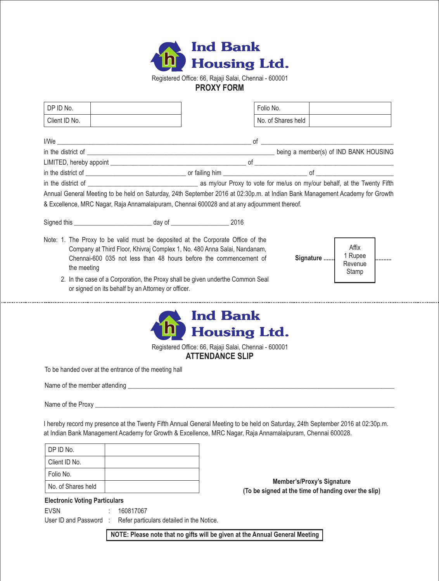

Registered Office: 66, Rajaji Salai, Chennai - 600001

# **PROXY FORM**

| DP ID No.                                             |                                                                                                                                                                                                                                                                                                                                                                          | Folio No.                                                        |                    |                             |                    |
|-------------------------------------------------------|--------------------------------------------------------------------------------------------------------------------------------------------------------------------------------------------------------------------------------------------------------------------------------------------------------------------------------------------------------------------------|------------------------------------------------------------------|--------------------|-----------------------------|--------------------|
| Client ID No.                                         |                                                                                                                                                                                                                                                                                                                                                                          |                                                                  | No. of Shares held |                             |                    |
|                                                       |                                                                                                                                                                                                                                                                                                                                                                          |                                                                  |                    |                             |                    |
|                                                       |                                                                                                                                                                                                                                                                                                                                                                          |                                                                  |                    |                             |                    |
|                                                       |                                                                                                                                                                                                                                                                                                                                                                          |                                                                  |                    |                             |                    |
|                                                       | Annual General Meeting to be held on Saturday, 24th September 2016 at 02:30p.m. at Indian Bank Management Academy for Growth<br>& Excellence, MRC Nagar, Raja Annamalaipuram, Chennai 600028 and at any adjournment thereof.                                                                                                                                             |                                                                  |                    |                             |                    |
|                                                       |                                                                                                                                                                                                                                                                                                                                                                          |                                                                  |                    |                             |                    |
|                                                       |                                                                                                                                                                                                                                                                                                                                                                          |                                                                  |                    |                             |                    |
| the meeting                                           | Note: 1. The Proxy to be valid must be deposited at the Corporate Office of the<br>Company at Third Floor, Khivraj Complex 1, No. 480 Anna Salai, Nandanam,<br>Chennai-600 035 not less than 48 hours before the commencement of<br>2. In the case of a Corporation, the Proxy shall be given underthe Common Seal<br>or signed on its behalf by an Attorney or officer. |                                                                  |                    | Affix<br>Signature<br>Stamp | 1 Rupee<br>Revenue |
|                                                       | Registered Office: 66, Rajaji Salai, Chennai - 600001                                                                                                                                                                                                                                                                                                                    | <b>Ind Bank</b><br><b>Housing Ltd.</b><br><b>ATTENDANCE SLIP</b> |                    |                             |                    |
| To be handed over at the entrance of the meeting hall |                                                                                                                                                                                                                                                                                                                                                                          |                                                                  |                    |                             |                    |
|                                                       | Name of the member attending experience of the member attending                                                                                                                                                                                                                                                                                                          |                                                                  |                    |                             |                    |
|                                                       | Name of the Proxy experience of the Proxy experience of the Proxy experience of the Proxy experience of the Proxy experience of the Proxy experience of the Proxy experience of the Proxy experience of the Proxy experience o                                                                                                                                           |                                                                  |                    |                             |                    |
|                                                       | I hereby record my presence at the Twenty Fifth Annual General Meeting to be held on Saturday, 24th September 2016 at 02:30p.m.<br>at Indian Bank Management Academy for Growth & Excellence, MRC Nagar, Raja Annamalaipuram, Chennai 600028.                                                                                                                            |                                                                  |                    |                             |                    |
| DP ID No.                                             |                                                                                                                                                                                                                                                                                                                                                                          |                                                                  |                    |                             |                    |
| Client ID No.                                         |                                                                                                                                                                                                                                                                                                                                                                          |                                                                  |                    |                             |                    |
| Folio No.                                             |                                                                                                                                                                                                                                                                                                                                                                          |                                                                  |                    |                             |                    |
| $M = 200$ Channels hall                               |                                                                                                                                                                                                                                                                                                                                                                          |                                                                  |                    | Member's/Proxy's Signature  |                    |

**Electronic Voting Particulars**

No. of Shares held

EVSN

. . . . . . . . . . . . . . . . . . .

: 160817067

User ID and Password : Refer particulars detailed in the Notice.

**NOTE: Please note that no gifts will be given at the Annual General Meeting**

**(To be signed at the time of handing over the slip)**

. . . . . . . . . . . . . . . .